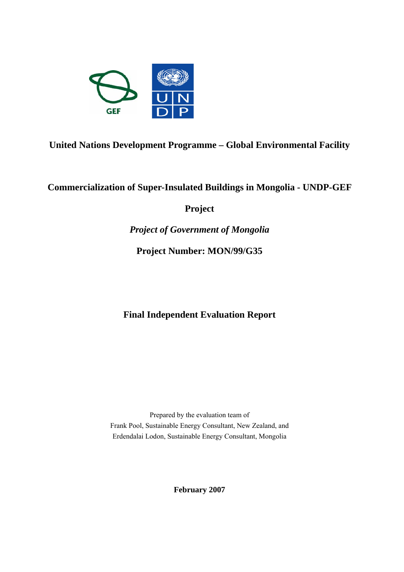

**United Nations Development Programme – Global Environmental Facility** 

**Commercialization of Super-Insulated Buildings in Mongolia - UNDP-GEF** 

**Project** 

*Project of Government of Mongolia* 

**Project Number: MON/99/G35**

**Final Independent Evaluation Report** 

Prepared by the evaluation team of Frank Pool, Sustainable Energy Consultant, New Zealand, and Erdendalai Lodon, Sustainable Energy Consultant, Mongolia

**February 2007**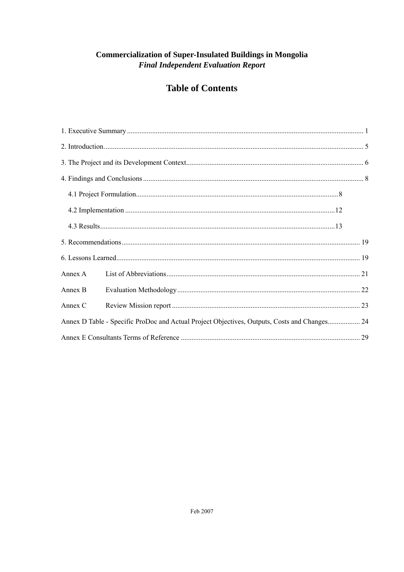# **Commercialization of Super-Insulated Buildings in Mongolia Final Independent Evaluation Report**

# **Table of Contents**

| Annex A |                                                                                              |  |
|---------|----------------------------------------------------------------------------------------------|--|
| Annex B |                                                                                              |  |
| Annex C |                                                                                              |  |
|         | Annex D Table - Specific ProDoc and Actual Project Objectives, Outputs, Costs and Changes 24 |  |
|         |                                                                                              |  |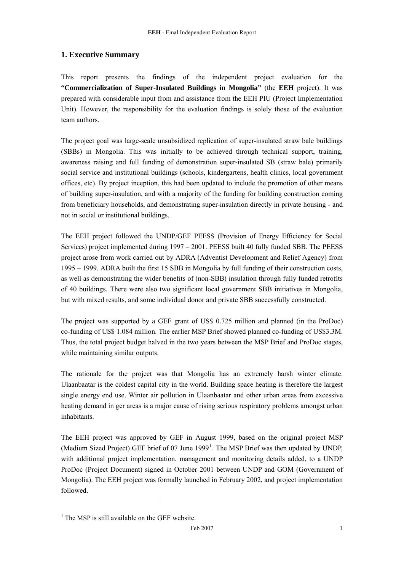# <span id="page-2-0"></span>**1. Executive Summary**

This report presents the findings of the independent project evaluation for the **"Commercialization of Super-Insulated Buildings in Mongolia"** (the **EEH** project). It was prepared with considerable input from and assistance from the EEH PIU (Project Implementation Unit). However, the responsibility for the evaluation findings is solely those of the evaluation team authors.

The project goal was large-scale unsubsidized replication of super-insulated straw bale buildings (SBBs) in Mongolia. This was initially to be achieved through technical support, training, awareness raising and full funding of demonstration super-insulated SB (straw bale) primarily social service and institutional buildings (schools, kindergartens, health clinics, local government offices, etc). By project inception, this had been updated to include the promotion of other means of building super-insulation, and with a majority of the funding for building construction coming from beneficiary households, and demonstrating super-insulation directly in private housing - and not in social or institutional buildings.

The EEH project followed the UNDP/GEF PEESS (Provision of Energy Efficiency for Social Services) project implemented during 1997 – 2001. PEESS built 40 fully funded SBB. The PEESS project arose from work carried out by ADRA (Adventist Development and Relief Agency) from 1995 – 1999. ADRA built the first 15 SBB in Mongolia by full funding of their construction costs, as well as demonstrating the wider benefits of (non-SBB) insulation through fully funded retrofits of 40 buildings. There were also two significant local government SBB initiatives in Mongolia, but with mixed results, and some individual donor and private SBB successfully constructed.

The project was supported by a GEF grant of US\$ 0.725 million and planned (in the ProDoc) co-funding of US\$ 1.084 million. The earlier MSP Brief showed planned co-funding of US\$3.3M. Thus, the total project budget halved in the two years between the MSP Brief and ProDoc stages, while maintaining similar outputs.

The rationale for the project was that Mongolia has an extremely harsh winter climate. Ulaanbaatar is the coldest capital city in the world. Building space heating is therefore the largest single energy end use. Winter air pollution in Ulaanbaatar and other urban areas from excessive heating demand in ger areas is a major cause of rising serious respiratory problems amongst urban inhabitants.

The EEH project was approved by GEF in August 1999, based on the original project MSP (Medium Sized Project) GEF brief of 07 June  $1999<sup>1</sup>$  $1999<sup>1</sup>$ . The MSP Brief was then updated by UNDP, with additional project implementation, management and monitoring details added, to a UNDP ProDoc (Project Document) signed in October 2001 between UNDP and GOM (Government of Mongolia). The EEH project was formally launched in February 2002, and project implementation followed.

-

<span id="page-2-1"></span><sup>&</sup>lt;sup>1</sup> The MSP is still available on the GEF website.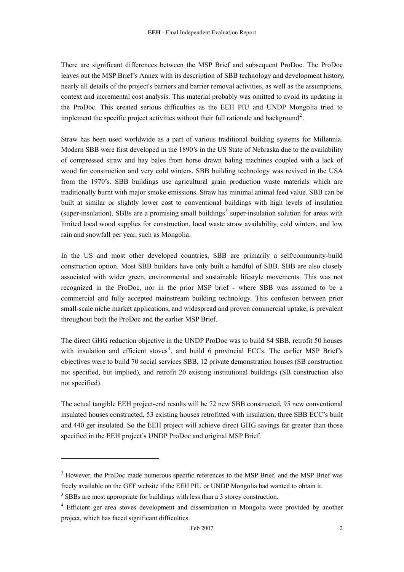There are significant differences between the MSP Brief and subsequent ProDoc. The ProDoc leaves out the MSP Brief's Annex with its description of SBB technology and development history, nearly all details of the project's barriers and barrier removal activities, as well as the assumptions, context and incremental cost analysis. This material probably was omitted to avoid its updating in the ProDoc. This created serious difficulties as the EEH PIU and UNDP Mongolia tried to implement the specific project activities without their full rationale and background<sup>[2](#page-3-0)</sup>.

Straw has been used worldwide as a part of various traditional building systems for Millennia. Modern SBB were first developed in the 1890's in the US State of Nebraska due to the availability of compressed straw and hay bales from horse drawn baling machines coupled with a lack of wood for construction and very cold winters. SBB building technology was revived in the USA from the 1970's. SBB buildings use agricultural grain production waste materials which are traditionally burnt with major smoke emissions. Straw has minimal animal feed value. SBB can be built at similar or slightly lower cost to conventional buildings with high levels of insulation (super-insulation). SBBs are a promising small buildings<sup>[3](#page-3-1)</sup> super-insulation solution for areas with limited local wood supplies for construction, local waste straw availability, cold winters, and low rain and snowfall per year, such as Mongolia.

In the US and most other developed countries, SBB are primarily a self/community-build construction option. Most SBB builders have only built a handful of SBB. SBB are also closely associated with wider green, environmental and sustainable lifestyle movements. This was not recognized in the ProDoc, nor in the prior MSP brief - where SBB was assumed to be a commercial and fully accepted mainstream building technology. This confusion between prior small-scale niche market applications, and widespread and proven commercial uptake, is prevalent throughout both the ProDoc and the earlier MSP Brief.

The direct GHG reduction objective in the UNDP ProDoc was to build 84 SBB, retrofit 50 houses with insulation and efficient stoves<sup>[4](#page-3-2)</sup>, and build 6 provincial ECCs. The earlier MSP Brief's objectives were to build 70 social services SBB, 12 private demonstration houses (SB construction not specified, but implied), and retrofit 20 existing institutional buildings (SB construction also not specified).

The actual tangible EEH project-end results will be 72 new SBB constructed, 95 new conventional insulated houses constructed, 53 existing houses retrofitted with insulation, three SBB ECC's built and 440 ger insulated. So the EEH project will achieve direct GHG savings far greater than those specified in the EEH project's UNDP ProDoc and original MSP Brief.

<u>.</u>

<span id="page-3-0"></span><sup>&</sup>lt;sup>2</sup> However, the ProDoc made numerous specific references to the MSP Brief, and the MSP Brief was freely available on the GEF website if the EEH PIU or UNDP Mongolia had wanted to obtain it.

<span id="page-3-1"></span><sup>&</sup>lt;sup>3</sup> SBBs are most appropriate for buildings with less than a 3 storey construction.

<span id="page-3-2"></span><sup>&</sup>lt;sup>4</sup> Efficient ger area stoves development and dissemination in Mongolia were provided by another project, which has faced significant difficulties.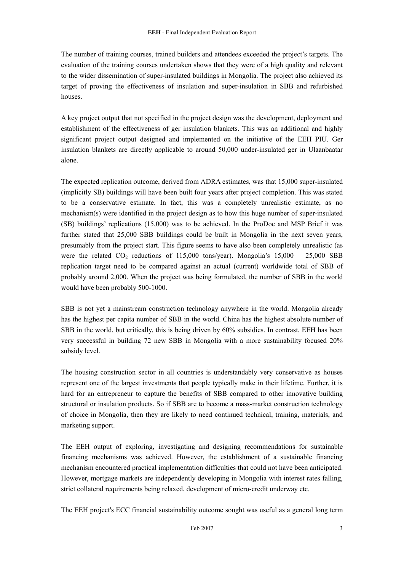The number of training courses, trained builders and attendees exceeded the project's targets. The evaluation of the training courses undertaken shows that they were of a high quality and relevant to the wider dissemination of super-insulated buildings in Mongolia. The project also achieved its target of proving the effectiveness of insulation and super-insulation in SBB and refurbished houses.

A key project output that not specified in the project design was the development, deployment and establishment of the effectiveness of ger insulation blankets. This was an additional and highly significant project output designed and implemented on the initiative of the EEH PIU. Ger insulation blankets are directly applicable to around 50,000 under-insulated ger in Ulaanbaatar alone.

The expected replication outcome, derived from ADRA estimates, was that 15,000 super-insulated (implicitly SB) buildings will have been built four years after project completion. This was stated to be a conservative estimate. In fact, this was a completely unrealistic estimate, as no mechanism(s) were identified in the project design as to how this huge number of super-insulated (SB) buildings' replications (15,000) was to be achieved. In the ProDoc and MSP Brief it was further stated that 25,000 SBB buildings could be built in Mongolia in the next seven years, presumably from the project start. This figure seems to have also been completely unrealistic (as were the related  $CO_2$  reductions of 115,000 tons/year). Mongolia's  $15,000 - 25,000$  SBB replication target need to be compared against an actual (current) worldwide total of SBB of probably around 2,000. When the project was being formulated, the number of SBB in the world would have been probably 500-1000.

SBB is not yet a mainstream construction technology anywhere in the world. Mongolia already has the highest per capita number of SBB in the world. China has the highest absolute number of SBB in the world, but critically, this is being driven by 60% subsidies. In contrast, EEH has been very successful in building 72 new SBB in Mongolia with a more sustainability focused 20% subsidy level.

The housing construction sector in all countries is understandably very conservative as houses represent one of the largest investments that people typically make in their lifetime. Further, it is hard for an entrepreneur to capture the benefits of SBB compared to other innovative building structural or insulation products. So if SBB are to become a mass-market construction technology of choice in Mongolia, then they are likely to need continued technical, training, materials, and marketing support.

The EEH output of exploring, investigating and designing recommendations for sustainable financing mechanisms was achieved. However, the establishment of a sustainable financing mechanism encountered practical implementation difficulties that could not have been anticipated. However, mortgage markets are independently developing in Mongolia with interest rates falling, strict collateral requirements being relaxed, development of micro-credit underway etc.

The EEH project's ECC financial sustainability outcome sought was useful as a general long term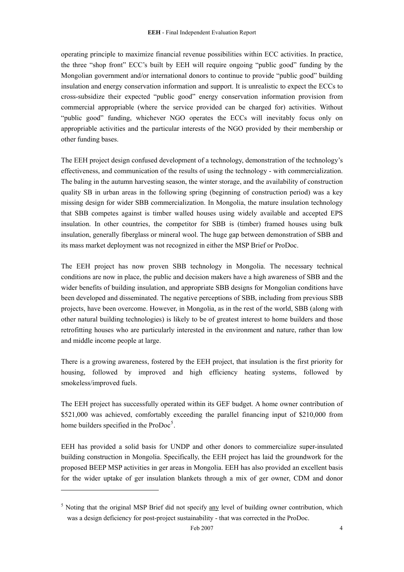<span id="page-5-0"></span>operating principle to maximize financial revenue possibilities within ECC activities. In practice, the three "shop front" ECC's built by EEH will require ongoing "public good" funding by the Mongolian government and/or international donors to continue to provide "public good" building insulation and energy conservation information and support. It is unrealistic to expect the ECCs to cross-subsidize their expected "public good" energy conservation information provision from commercial appropriable (where the service provided can be charged for) activities. Without "public good" funding, whichever NGO operates the ECCs will inevitably focus only on appropriable activities and the particular interests of the NGO provided by their membership or other funding bases.

The EEH project design confused development of a technology, demonstration of the technology's effectiveness, and communication of the results of using the technology - with commercialization. The baling in the autumn harvesting season, the winter storage, and the availability of construction quality SB in urban areas in the following spring (beginning of construction period) was a key missing design for wider SBB commercialization. In Mongolia, the mature insulation technology that SBB competes against is timber walled houses using widely available and accepted EPS insulation. In other countries, the competitor for SBB is (timber) framed houses using bulk insulation, generally fiberglass or mineral wool. The huge gap between demonstration of SBB and its mass market deployment was not recognized in either the MSP Brief or ProDoc.

The EEH project has now proven SBB technology in Mongolia. The necessary technical conditions are now in place, the public and decision makers have a high awareness of SBB and the wider benefits of building insulation, and appropriate SBB designs for Mongolian conditions have been developed and disseminated. The negative perceptions of SBB, including from previous SBB projects, have been overcome. However, in Mongolia, as in the rest of the world, SBB (along with other natural building technologies) is likely to be of greatest interest to home builders and those retrofitting houses who are particularly interested in the environment and nature, rather than low and middle income people at large.

There is a growing awareness, fostered by the EEH project, that insulation is the first priority for housing, followed by improved and high efficiency heating systems, followed by smokeless/improved fuels.

The EEH project has successfully operated within its GEF budget. A home owner contribution of \$521,000 was achieved, comfortably exceeding the parallel financing input of \$210,000 from home builders specified in the  $ProDoc<sup>5</sup>$  $ProDoc<sup>5</sup>$  $ProDoc<sup>5</sup>$ .

EEH has provided a solid basis for UNDP and other donors to commercialize super-insulated building construction in Mongolia. Specifically, the EEH project has laid the groundwork for the proposed BEEP MSP activities in ger areas in Mongolia. EEH has also provided an excellent basis for the wider uptake of ger insulation blankets through a mix of ger owner, CDM and donor

-

 $<sup>5</sup>$  Noting that the original MSP Brief did not specify  $\frac{any}{any}$  level of building owner contribution, which</sup> was a design deficiency for post-project sustainability - that was corrected in the ProDoc.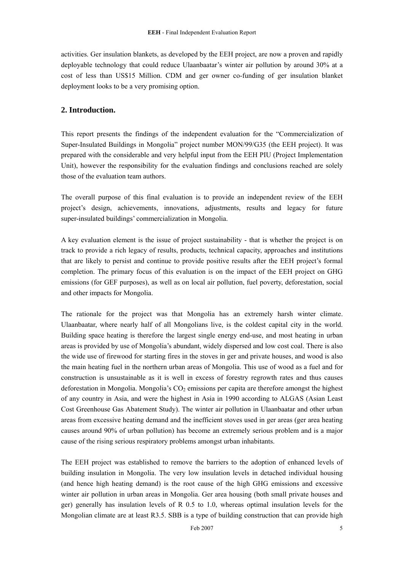<span id="page-6-0"></span>activities. Ger insulation blankets, as developed by the EEH project, are now a proven and rapidly deployable technology that could reduce Ulaanbaatar's winter air pollution by around 30% at a cost of less than US\$15 Million. CDM and ger owner co-funding of ger insulation blanket deployment looks to be a very promising option.

# **2. Introduction.**

This report presents the findings of the independent evaluation for the "Commercialization of Super-Insulated Buildings in Mongolia" project number MON/99/G35 (the EEH project). It was prepared with the considerable and very helpful input from the EEH PIU (Project Implementation Unit), however the responsibility for the evaluation findings and conclusions reached are solely those of the evaluation team authors.

The overall purpose of this final evaluation is to provide an independent review of the EEH project's design, achievements, innovations, adjustments, results and legacy for future super-insulated buildings' commercialization in Mongolia.

A key evaluation element is the issue of project sustainability - that is whether the project is on track to provide a rich legacy of results, products, technical capacity, approaches and institutions that are likely to persist and continue to provide positive results after the EEH project's formal completion. The primary focus of this evaluation is on the impact of the EEH project on GHG emissions (for GEF purposes), as well as on local air pollution, fuel poverty, deforestation, social and other impacts for Mongolia.

The rationale for the project was that Mongolia has an extremely harsh winter climate. Ulaanbaatar, where nearly half of all Mongolians live, is the coldest capital city in the world. Building space heating is therefore the largest single energy end-use, and most heating in urban areas is provided by use of Mongolia's abundant, widely dispersed and low cost coal. There is also the wide use of firewood for starting fires in the stoves in ger and private houses, and wood is also the main heating fuel in the northern urban areas of Mongolia. This use of wood as a fuel and for construction is unsustainable as it is well in excess of forestry regrowth rates and thus causes deforestation in Mongolia. Mongolia's  $CO<sub>2</sub>$  emissions per capita are therefore amongst the highest of any country in Asia, and were the highest in Asia in 1990 according to ALGAS (Asian Least Cost Greenhouse Gas Abatement Study). The winter air pollution in Ulaanbaatar and other urban areas from excessive heating demand and the inefficient stoves used in ger areas (ger area heating causes around 90% of urban pollution) has become an extremely serious problem and is a major cause of the rising serious respiratory problems amongst urban inhabitants.

The EEH project was established to remove the barriers to the adoption of enhanced levels of building insulation in Mongolia. The very low insulation levels in detached individual housing (and hence high heating demand) is the root cause of the high GHG emissions and excessive winter air pollution in urban areas in Mongolia. Ger area housing (both small private houses and ger) generally has insulation levels of R 0.5 to 1.0, whereas optimal insulation levels for the Mongolian climate are at least R3.5. SBB is a type of building construction that can provide high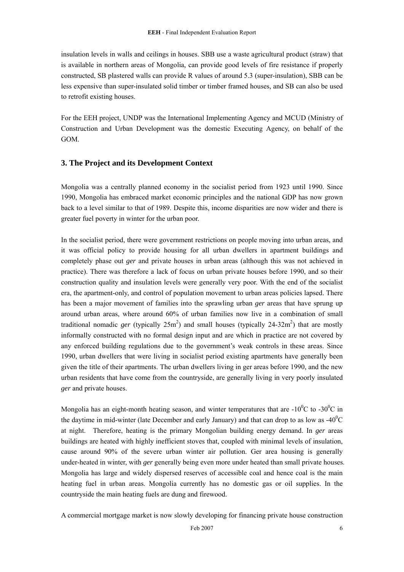<span id="page-7-0"></span>insulation levels in walls and ceilings in houses. SBB use a waste agricultural product (straw) that is available in northern areas of Mongolia, can provide good levels of fire resistance if properly constructed, SB plastered walls can provide R values of around 5.3 (super-insulation), SBB can be less expensive than super-insulated solid timber or timber framed houses, and SB can also be used to retrofit existing houses.

For the EEH project, UNDP was the International Implementing Agency and MCUD (Ministry of Construction and Urban Development was the domestic Executing Agency, on behalf of the GOM.

# **3. The Project and its Development Context**

Mongolia was a centrally planned economy in the socialist period from 1923 until 1990. Since 1990, Mongolia has embraced market economic principles and the national GDP has now grown back to a level similar to that of 1989. Despite this, income disparities are now wider and there is greater fuel poverty in winter for the urban poor.

In the socialist period, there were government restrictions on people moving into urban areas, and it was official policy to provide housing for all urban dwellers in apartment buildings and completely phase out *ger* and private houses in urban areas (although this was not achieved in practice). There was therefore a lack of focus on urban private houses before 1990, and so their construction quality and insulation levels were generally very poor. With the end of the socialist era, the apartment-only, and control of population movement to urban areas policies lapsed. There has been a major movement of families into the sprawling urban *ger* areas that have sprung up around urban areas, where around 60% of urban families now live in a combination of small traditional nomadic *ger* (typically  $25m^2$ ) and small houses (typically  $24-32m^2$ ) that are mostly informally constructed with no formal design input and are which in practice are not covered by any enforced building regulations due to the government's weak controls in these areas. Since 1990, urban dwellers that were living in socialist period existing apartments have generally been given the title of their apartments. The urban dwellers living in ger areas before 1990, and the new urban residents that have come from the countryside, are generally living in very poorly insulated *ger* and private houses.

Mongolia has an eight-month heating season, and winter temperatures that are  $-10^{0}$ C to  $-30^{0}$ C in the daytime in mid-winter (late December and early January) and that can drop to as low as  $-40^{\circ}$ C at night. Therefore, heating is the primary Mongolian building energy demand. In *ger* areas buildings are heated with highly inefficient stoves that, coupled with minimal levels of insulation, cause around 90% of the severe urban winter air pollution. Ger area housing is generally under-heated in winter, with *ger* generally being even more under heated than small private houses. Mongolia has large and widely dispersed reserves of accessible coal and hence coal is the main heating fuel in urban areas. Mongolia currently has no domestic gas or oil supplies. In the countryside the main heating fuels are dung and firewood.

A commercial mortgage market is now slowly developing for financing private house construction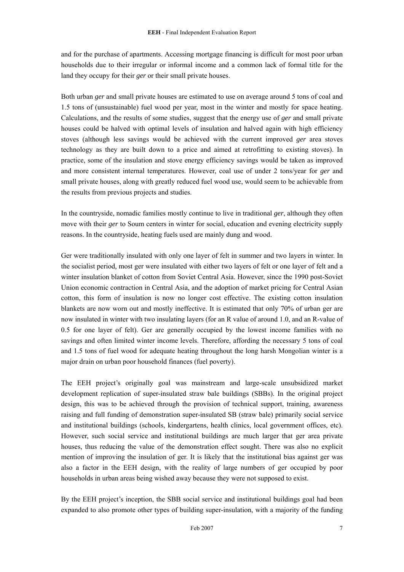and for the purchase of apartments. Accessing mortgage financing is difficult for most poor urban households due to their irregular or informal income and a common lack of formal title for the land they occupy for their *ger* or their small private houses.

Both urban *ger* and small private houses are estimated to use on average around 5 tons of coal and 1.5 tons of (unsustainable) fuel wood per year, most in the winter and mostly for space heating. Calculations, and the results of some studies, suggest that the energy use of *ger* and small private houses could be halved with optimal levels of insulation and halved again with high efficiency stoves (although less savings would be achieved with the current improved *ger* area stoves technology as they are built down to a price and aimed at retrofitting to existing stoves). In practice, some of the insulation and stove energy efficiency savings would be taken as improved and more consistent internal temperatures. However, coal use of under 2 tons/year for *ger* and small private houses, along with greatly reduced fuel wood use, would seem to be achievable from the results from previous projects and studies.

In the countryside, nomadic families mostly continue to live in traditional *ger*, although they often move with their *ger* to Soum centers in winter for social, education and evening electricity supply reasons. In the countryside, heating fuels used are mainly dung and wood.

Ger were traditionally insulated with only one layer of felt in summer and two layers in winter. In the socialist period, most ger were insulated with either two layers of felt or one layer of felt and a winter insulation blanket of cotton from Soviet Central Asia. However, since the 1990 post-Soviet Union economic contraction in Central Asia, and the adoption of market pricing for Central Asian cotton, this form of insulation is now no longer cost effective. The existing cotton insulation blankets are now worn out and mostly ineffective. It is estimated that only 70% of urban ger are now insulated in winter with two insulating layers (for an R value of around 1.0, and an R-value of 0.5 for one layer of felt). Ger are generally occupied by the lowest income families with no savings and often limited winter income levels. Therefore, affording the necessary 5 tons of coal and 1.5 tons of fuel wood for adequate heating throughout the long harsh Mongolian winter is a major drain on urban poor household finances (fuel poverty).

The EEH project's originally goal was mainstream and large-scale unsubsidized market development replication of super-insulated straw bale buildings (SBBs). In the original project design, this was to be achieved through the provision of technical support, training, awareness raising and full funding of demonstration super-insulated SB (straw bale) primarily social service and institutional buildings (schools, kindergartens, health clinics, local government offices, etc). However, such social service and institutional buildings are much larger that ger area private houses, thus reducing the value of the demonstration effect sought. There was also no explicit mention of improving the insulation of ger. It is likely that the institutional bias against ger was also a factor in the EEH design, with the reality of large numbers of ger occupied by poor households in urban areas being wished away because they were not supposed to exist.

By the EEH project's inception, the SBB social service and institutional buildings goal had been expanded to also promote other types of building super-insulation, with a majority of the funding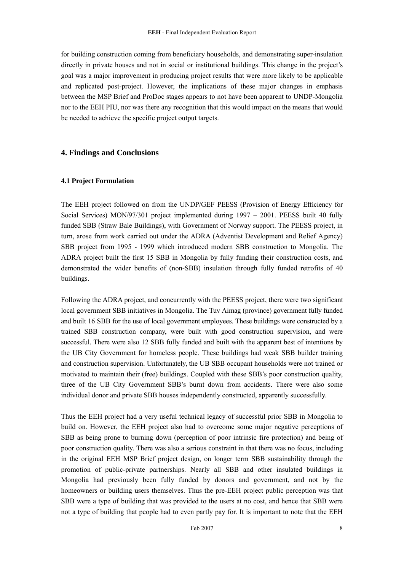<span id="page-9-0"></span>for building construction coming from beneficiary households, and demonstrating super-insulation directly in private houses and not in social or institutional buildings. This change in the project's goal was a major improvement in producing project results that were more likely to be applicable and replicated post-project. However, the implications of these major changes in emphasis between the MSP Brief and ProDoc stages appears to not have been apparent to UNDP-Mongolia nor to the EEH PIU, nor was there any recognition that this would impact on the means that would be needed to achieve the specific project output targets.

#### **4. Findings and Conclusions**

#### **4.1 Project Formulation**

The EEH project followed on from the UNDP/GEF PEESS (Provision of Energy Efficiency for Social Services) MON/97/301 project implemented during 1997 – 2001. PEESS built 40 fully funded SBB (Straw Bale Buildings), with Government of Norway support. The PEESS project, in turn, arose from work carried out under the ADRA (Adventist Development and Relief Agency) SBB project from 1995 - 1999 which introduced modern SBB construction to Mongolia. The ADRA project built the first 15 SBB in Mongolia by fully funding their construction costs, and demonstrated the wider benefits of (non-SBB) insulation through fully funded retrofits of 40 buildings.

Following the ADRA project, and concurrently with the PEESS project, there were two significant local government SBB initiatives in Mongolia. The Tuv Aimag (province) government fully funded and built 16 SBB for the use of local government employees. These buildings were constructed by a trained SBB construction company, were built with good construction supervision, and were successful. There were also 12 SBB fully funded and built with the apparent best of intentions by the UB City Government for homeless people. These buildings had weak SBB builder training and construction supervision. Unfortunately, the UB SBB occupant households were not trained or motivated to maintain their (free) buildings. Coupled with these SBB's poor construction quality, three of the UB City Government SBB's burnt down from accidents. There were also some individual donor and private SBB houses independently constructed, apparently successfully.

Thus the EEH project had a very useful technical legacy of successful prior SBB in Mongolia to build on. However, the EEH project also had to overcome some major negative perceptions of SBB as being prone to burning down (perception of poor intrinsic fire protection) and being of poor construction quality. There was also a serious constraint in that there was no focus, including in the original EEH MSP Brief project design, on longer term SBB sustainability through the promotion of public-private partnerships. Nearly all SBB and other insulated buildings in Mongolia had previously been fully funded by donors and government, and not by the homeowners or building users themselves. Thus the pre-EEH project public perception was that SBB were a type of building that was provided to the users at no cost, and hence that SBB were not a type of building that people had to even partly pay for. It is important to note that the EEH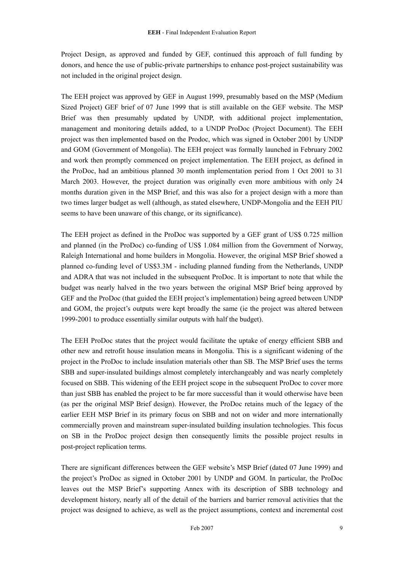Project Design, as approved and funded by GEF, continued this approach of full funding by donors, and hence the use of public-private partnerships to enhance post-project sustainability was not included in the original project design.

The EEH project was approved by GEF in August 1999, presumably based on the MSP (Medium Sized Project) GEF brief of 07 June 1999 that is still available on the GEF website. The MSP Brief was then presumably updated by UNDP, with additional project implementation, management and monitoring details added, to a UNDP ProDoc (Project Document). The EEH project was then implemented based on the Prodoc, which was signed in October 2001 by UNDP and GOM (Government of Mongolia). The EEH project was formally launched in February 2002 and work then promptly commenced on project implementation. The EEH project, as defined in the ProDoc, had an ambitious planned 30 month implementation period from 1 Oct 2001 to 31 March 2003. However, the project duration was originally even more ambitious with only 24 months duration given in the MSP Brief, and this was also for a project design with a more than two times larger budget as well (although, as stated elsewhere, UNDP-Mongolia and the EEH PIU seems to have been unaware of this change, or its significance).

The EEH project as defined in the ProDoc was supported by a GEF grant of US\$ 0.725 million and planned (in the ProDoc) co-funding of US\$ 1.084 million from the Government of Norway, Raleigh International and home builders in Mongolia. However, the original MSP Brief showed a planned co-funding level of US\$3.3M - including planned funding from the Netherlands, UNDP and ADRA that was not included in the subsequent ProDoc. It is important to note that while the budget was nearly halved in the two years between the original MSP Brief being approved by GEF and the ProDoc (that guided the EEH project's implementation) being agreed between UNDP and GOM, the project's outputs were kept broadly the same (ie the project was altered between 1999-2001 to produce essentially similar outputs with half the budget).

The EEH ProDoc states that the project would facilitate the uptake of energy efficient SBB and other new and retrofit house insulation means in Mongolia. This is a significant widening of the project in the ProDoc to include insulation materials other than SB. The MSP Brief uses the terms SBB and super-insulated buildings almost completely interchangeably and was nearly completely focused on SBB. This widening of the EEH project scope in the subsequent ProDoc to cover more than just SBB has enabled the project to be far more successful than it would otherwise have been (as per the original MSP Brief design). However, the ProDoc retains much of the legacy of the earlier EEH MSP Brief in its primary focus on SBB and not on wider and more internationally commercially proven and mainstream super-insulated building insulation technologies. This focus on SB in the ProDoc project design then consequently limits the possible project results in post-project replication terms.

There are significant differences between the GEF website's MSP Brief (dated 07 June 1999) and the project's ProDoc as signed in October 2001 by UNDP and GOM. In particular, the ProDoc leaves out the MSP Brief's supporting Annex with its description of SBB technology and development history, nearly all of the detail of the barriers and barrier removal activities that the project was designed to achieve, as well as the project assumptions, context and incremental cost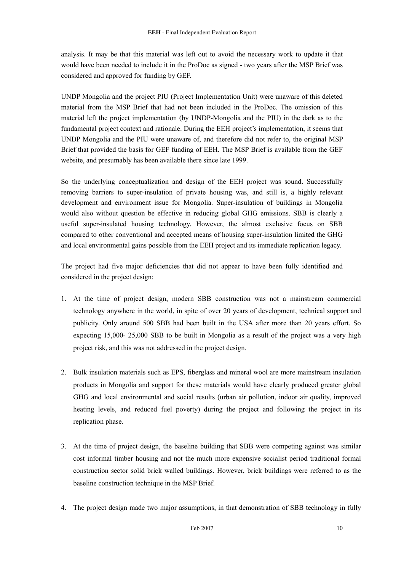analysis. It may be that this material was left out to avoid the necessary work to update it that would have been needed to include it in the ProDoc as signed - two years after the MSP Brief was considered and approved for funding by GEF.

UNDP Mongolia and the project PIU (Project Implementation Unit) were unaware of this deleted material from the MSP Brief that had not been included in the ProDoc. The omission of this material left the project implementation (by UNDP-Mongolia and the PIU) in the dark as to the fundamental project context and rationale. During the EEH project's implementation, it seems that UNDP Mongolia and the PIU were unaware of, and therefore did not refer to, the original MSP Brief that provided the basis for GEF funding of EEH. The MSP Brief is available from the GEF website, and presumably has been available there since late 1999.

So the underlying conceptualization and design of the EEH project was sound. Successfully removing barriers to super-insulation of private housing was, and still is, a highly relevant development and environment issue for Mongolia. Super-insulation of buildings in Mongolia would also without question be effective in reducing global GHG emissions. SBB is clearly a useful super-insulated housing technology. However, the almost exclusive focus on SBB compared to other conventional and accepted means of housing super-insulation limited the GHG and local environmental gains possible from the EEH project and its immediate replication legacy.

The project had five major deficiencies that did not appear to have been fully identified and considered in the project design:

- 1. At the time of project design, modern SBB construction was not a mainstream commercial technology anywhere in the world, in spite of over 20 years of development, technical support and publicity. Only around 500 SBB had been built in the USA after more than 20 years effort. So expecting 15,000- 25,000 SBB to be built in Mongolia as a result of the project was a very high project risk, and this was not addressed in the project design.
- 2. Bulk insulation materials such as EPS, fiberglass and mineral wool are more mainstream insulation products in Mongolia and support for these materials would have clearly produced greater global GHG and local environmental and social results (urban air pollution, indoor air quality, improved heating levels, and reduced fuel poverty) during the project and following the project in its replication phase.
- 3. At the time of project design, the baseline building that SBB were competing against was similar cost informal timber housing and not the much more expensive socialist period traditional formal construction sector solid brick walled buildings. However, brick buildings were referred to as the baseline construction technique in the MSP Brief.
- 4. The project design made two major assumptions, in that demonstration of SBB technology in fully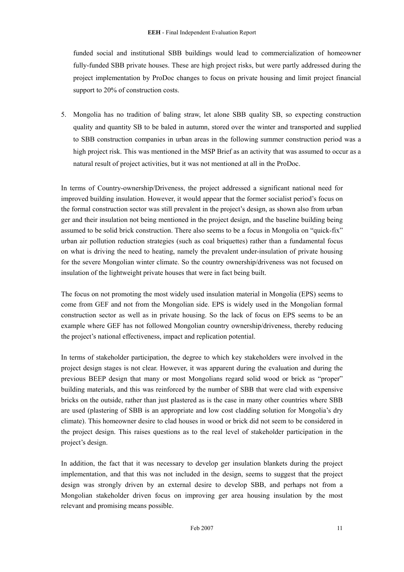funded social and institutional SBB buildings would lead to commercialization of homeowner fully-funded SBB private houses. These are high project risks, but were partly addressed during the project implementation by ProDoc changes to focus on private housing and limit project financial support to 20% of construction costs.

5. Mongolia has no tradition of baling straw, let alone SBB quality SB, so expecting construction quality and quantity SB to be baled in autumn, stored over the winter and transported and supplied to SBB construction companies in urban areas in the following summer construction period was a high project risk. This was mentioned in the MSP Brief as an activity that was assumed to occur as a natural result of project activities, but it was not mentioned at all in the ProDoc.

In terms of Country-ownership/Driveness, the project addressed a significant national need for improved building insulation. However, it would appear that the former socialist period's focus on the formal construction sector was still prevalent in the project's design, as shown also from urban ger and their insulation not being mentioned in the project design, and the baseline building being assumed to be solid brick construction. There also seems to be a focus in Mongolia on "quick-fix" urban air pollution reduction strategies (such as coal briquettes) rather than a fundamental focus on what is driving the need to heating, namely the prevalent under-insulation of private housing for the severe Mongolian winter climate. So the country ownership/driveness was not focused on insulation of the lightweight private houses that were in fact being built.

The focus on not promoting the most widely used insulation material in Mongolia (EPS) seems to come from GEF and not from the Mongolian side. EPS is widely used in the Mongolian formal construction sector as well as in private housing. So the lack of focus on EPS seems to be an example where GEF has not followed Mongolian country ownership/driveness, thereby reducing the project's national effectiveness, impact and replication potential.

In terms of stakeholder participation, the degree to which key stakeholders were involved in the project design stages is not clear. However, it was apparent during the evaluation and during the previous BEEP design that many or most Mongolians regard solid wood or brick as "proper" building materials, and this was reinforced by the number of SBB that were clad with expensive bricks on the outside, rather than just plastered as is the case in many other countries where SBB are used (plastering of SBB is an appropriate and low cost cladding solution for Mongolia's dry climate). This homeowner desire to clad houses in wood or brick did not seem to be considered in the project design. This raises questions as to the real level of stakeholder participation in the project's design.

In addition, the fact that it was necessary to develop ger insulation blankets during the project implementation, and that this was not included in the design, seems to suggest that the project design was strongly driven by an external desire to develop SBB, and perhaps not from a Mongolian stakeholder driven focus on improving ger area housing insulation by the most relevant and promising means possible.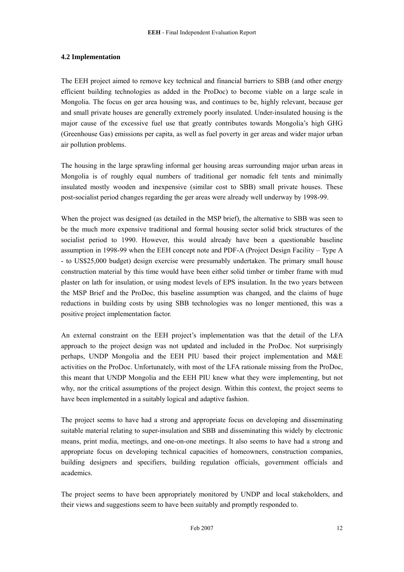#### <span id="page-13-0"></span>**4.2 Implementation**

The EEH project aimed to remove key technical and financial barriers to SBB (and other energy efficient building technologies as added in the ProDoc) to become viable on a large scale in Mongolia. The focus on ger area housing was, and continues to be, highly relevant, because ger and small private houses are generally extremely poorly insulated. Under-insulated housing is the major cause of the excessive fuel use that greatly contributes towards Mongolia's high GHG (Greenhouse Gas) emissions per capita, as well as fuel poverty in ger areas and wider major urban air pollution problems.

The housing in the large sprawling informal ger housing areas surrounding major urban areas in Mongolia is of roughly equal numbers of traditional ger nomadic felt tents and minimally insulated mostly wooden and inexpensive (similar cost to SBB) small private houses. These post-socialist period changes regarding the ger areas were already well underway by 1998-99.

When the project was designed (as detailed in the MSP brief), the alternative to SBB was seen to be the much more expensive traditional and formal housing sector solid brick structures of the socialist period to 1990. However, this would already have been a questionable baseline assumption in 1998-99 when the EEH concept note and PDF-A (Project Design Facility – Type A - to US\$25,000 budget) design exercise were presumably undertaken. The primary small house construction material by this time would have been either solid timber or timber frame with mud plaster on lath for insulation, or using modest levels of EPS insulation. In the two years between the MSP Brief and the ProDoc, this baseline assumption was changed, and the claims of huge reductions in building costs by using SBB technologies was no longer mentioned, this was a positive project implementation factor.

An external constraint on the EEH project's implementation was that the detail of the LFA approach to the project design was not updated and included in the ProDoc. Not surprisingly perhaps, UNDP Mongolia and the EEH PIU based their project implementation and M&E activities on the ProDoc. Unfortunately, with most of the LFA rationale missing from the ProDoc, this meant that UNDP Mongolia and the EEH PIU knew what they were implementing, but not why, nor the critical assumptions of the project design. Within this context, the project seems to have been implemented in a suitably logical and adaptive fashion.

The project seems to have had a strong and appropriate focus on developing and disseminating suitable material relating to super-insulation and SBB and disseminating this widely by electronic means, print media, meetings, and one-on-one meetings. It also seems to have had a strong and appropriate focus on developing technical capacities of homeowners, construction companies, building designers and specifiers, building regulation officials, government officials and academics.

The project seems to have been appropriately monitored by UNDP and local stakeholders, and their views and suggestions seem to have been suitably and promptly responded to.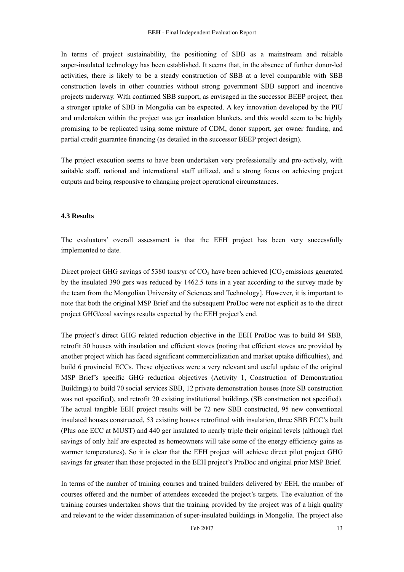<span id="page-14-0"></span>In terms of project sustainability, the positioning of SBB as a mainstream and reliable super-insulated technology has been established. It seems that, in the absence of further donor-led activities, there is likely to be a steady construction of SBB at a level comparable with SBB construction levels in other countries without strong government SBB support and incentive projects underway. With continued SBB support, as envisaged in the successor BEEP project, then a stronger uptake of SBB in Mongolia can be expected. A key innovation developed by the PIU and undertaken within the project was ger insulation blankets, and this would seem to be highly promising to be replicated using some mixture of CDM, donor support, ger owner funding, and partial credit guarantee financing (as detailed in the successor BEEP project design).

The project execution seems to have been undertaken very professionally and pro-actively, with suitable staff, national and international staff utilized, and a strong focus on achieving project outputs and being responsive to changing project operational circumstances.

#### **4.3 Results**

The evaluators' overall assessment is that the EEH project has been very successfully implemented to date.

Direct project GHG savings of 5380 tons/yr of  $CO<sub>2</sub>$  have been achieved  $[CO<sub>2</sub>$  emissions generated by the insulated 390 gers was reduced by 1462.5 tons in a year according to the survey made by the team from the Mongolian University of Sciences and Technology]. However, it is important to note that both the original MSP Brief and the subsequent ProDoc were not explicit as to the direct project GHG/coal savings results expected by the EEH project's end.

The project's direct GHG related reduction objective in the EEH ProDoc was to build 84 SBB, retrofit 50 houses with insulation and efficient stoves (noting that efficient stoves are provided by another project which has faced significant commercialization and market uptake difficulties), and build 6 provincial ECCs. These objectives were a very relevant and useful update of the original MSP Brief's specific GHG reduction objectives (Activity 1, Construction of Demonstration Buildings) to build 70 social services SBB, 12 private demonstration houses (note SB construction was not specified), and retrofit 20 existing institutional buildings (SB construction not specified). The actual tangible EEH project results will be 72 new SBB constructed, 95 new conventional insulated houses constructed, 53 existing houses retrofitted with insulation, three SBB ECC's built (Plus one ECC at MUST) and 440 ger insulated to nearly triple their original levels (although fuel savings of only half are expected as homeowners will take some of the energy efficiency gains as warmer temperatures). So it is clear that the EEH project will achieve direct pilot project GHG savings far greater than those projected in the EEH project's ProDoc and original prior MSP Brief.

In terms of the number of training courses and trained builders delivered by EEH, the number of courses offered and the number of attendees exceeded the project's targets. The evaluation of the training courses undertaken shows that the training provided by the project was of a high quality and relevant to the wider dissemination of super-insulated buildings in Mongolia. The project also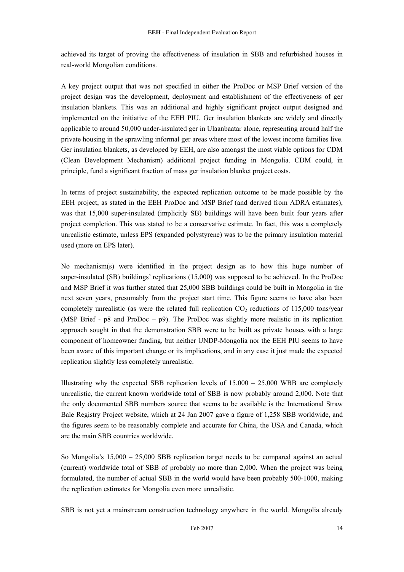achieved its target of proving the effectiveness of insulation in SBB and refurbished houses in real-world Mongolian conditions.

A key project output that was not specified in either the ProDoc or MSP Brief version of the project design was the development, deployment and establishment of the effectiveness of ger insulation blankets. This was an additional and highly significant project output designed and implemented on the initiative of the EEH PIU. Ger insulation blankets are widely and directly applicable to around 50,000 under-insulated ger in Ulaanbaatar alone, representing around half the private housing in the sprawling informal ger areas where most of the lowest income families live. Ger insulation blankets, as developed by EEH, are also amongst the most viable options for CDM (Clean Development Mechanism) additional project funding in Mongolia. CDM could, in principle, fund a significant fraction of mass ger insulation blanket project costs.

In terms of project sustainability, the expected replication outcome to be made possible by the EEH project, as stated in the EEH ProDoc and MSP Brief (and derived from ADRA estimates), was that 15,000 super-insulated (implicitly SB) buildings will have been built four years after project completion. This was stated to be a conservative estimate. In fact, this was a completely unrealistic estimate, unless EPS (expanded polystyrene) was to be the primary insulation material used (more on EPS later).

No mechanism(s) were identified in the project design as to how this huge number of super-insulated (SB) buildings' replications (15,000) was supposed to be achieved. In the ProDoc and MSP Brief it was further stated that 25,000 SBB buildings could be built in Mongolia in the next seven years, presumably from the project start time. This figure seems to have also been completely unrealistic (as were the related full replication  $CO<sub>2</sub>$  reductions of 115,000 tons/year (MSP Brief - p8 and ProDoc – p9). The ProDoc was slightly more realistic in its replication approach sought in that the demonstration SBB were to be built as private houses with a large component of homeowner funding, but neither UNDP-Mongolia nor the EEH PIU seems to have been aware of this important change or its implications, and in any case it just made the expected replication slightly less completely unrealistic.

Illustrating why the expected SBB replication levels of  $15,000 - 25,000$  WBB are completely unrealistic, the current known worldwide total of SBB is now probably around 2,000. Note that the only documented SBB numbers source that seems to be available is the International Straw Bale Registry Project website, which at 24 Jan 2007 gave a figure of 1,258 SBB worldwide, and the figures seem to be reasonably complete and accurate for China, the USA and Canada, which are the main SBB countries worldwide.

So Mongolia's 15,000 – 25,000 SBB replication target needs to be compared against an actual (current) worldwide total of SBB of probably no more than 2,000. When the project was being formulated, the number of actual SBB in the world would have been probably 500-1000, making the replication estimates for Mongolia even more unrealistic.

SBB is not yet a mainstream construction technology anywhere in the world. Mongolia already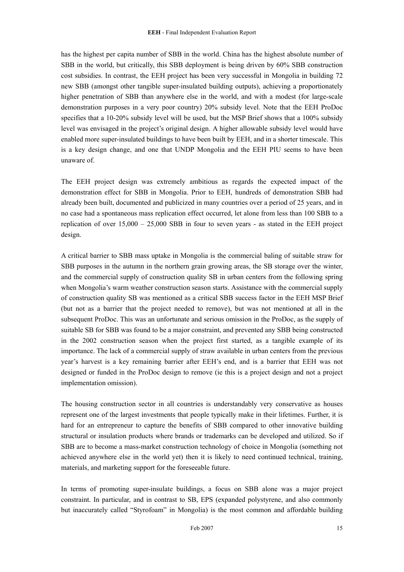has the highest per capita number of SBB in the world. China has the highest absolute number of SBB in the world, but critically, this SBB deployment is being driven by 60% SBB construction cost subsidies. In contrast, the EEH project has been very successful in Mongolia in building 72 new SBB (amongst other tangible super-insulated building outputs), achieving a proportionately higher penetration of SBB than anywhere else in the world, and with a modest (for large-scale demonstration purposes in a very poor country) 20% subsidy level. Note that the EEH ProDoc specifies that a 10-20% subsidy level will be used, but the MSP Brief shows that a 100% subsidy level was envisaged in the project's original design. A higher allowable subsidy level would have enabled more super-insulated buildings to have been built by EEH, and in a shorter timescale. This is a key design change, and one that UNDP Mongolia and the EEH PIU seems to have been unaware of.

The EEH project design was extremely ambitious as regards the expected impact of the demonstration effect for SBB in Mongolia. Prior to EEH, hundreds of demonstration SBB had already been built, documented and publicized in many countries over a period of 25 years, and in no case had a spontaneous mass replication effect occurred, let alone from less than 100 SBB to a replication of over  $15,000 - 25,000$  SBB in four to seven years - as stated in the EEH project design.

A critical barrier to SBB mass uptake in Mongolia is the commercial baling of suitable straw for SBB purposes in the autumn in the northern grain growing areas, the SB storage over the winter, and the commercial supply of construction quality SB in urban centers from the following spring when Mongolia's warm weather construction season starts. Assistance with the commercial supply of construction quality SB was mentioned as a critical SBB success factor in the EEH MSP Brief (but not as a barrier that the project needed to remove), but was not mentioned at all in the subsequent ProDoc. This was an unfortunate and serious omission in the ProDoc, as the supply of suitable SB for SBB was found to be a major constraint, and prevented any SBB being constructed in the 2002 construction season when the project first started, as a tangible example of its importance. The lack of a commercial supply of straw available in urban centers from the previous year's harvest is a key remaining barrier after EEH's end, and is a barrier that EEH was not designed or funded in the ProDoc design to remove (ie this is a project design and not a project implementation omission).

The housing construction sector in all countries is understandably very conservative as houses represent one of the largest investments that people typically make in their lifetimes. Further, it is hard for an entrepreneur to capture the benefits of SBB compared to other innovative building structural or insulation products where brands or trademarks can be developed and utilized. So if SBB are to become a mass-market construction technology of choice in Mongolia (something not achieved anywhere else in the world yet) then it is likely to need continued technical, training, materials, and marketing support for the foreseeable future.

In terms of promoting super-insulate buildings, a focus on SBB alone was a major project constraint. In particular, and in contrast to SB, EPS (expanded polystyrene, and also commonly but inaccurately called "Styrofoam" in Mongolia) is the most common and affordable building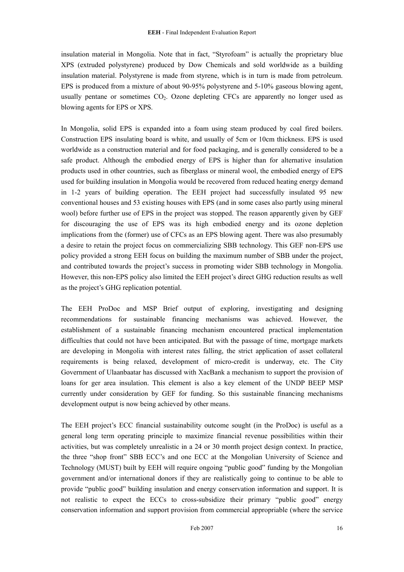insulation material in Mongolia. Note that in fact, "Styrofoam" is actually the proprietary blue XPS (extruded polystyrene) produced by Dow Chemicals and sold worldwide as a building insulation material. Polystyrene is made from styrene, which is in turn is made from petroleum. EPS is produced from a mixture of about 90-95% polystyrene and 5-10% gaseous blowing agent, usually pentane or sometimes  $CO<sub>2</sub>$ . Ozone depleting CFCs are apparently no longer used as blowing agents for EPS or XPS.

In Mongolia, solid EPS is expanded into a foam using steam produced by coal fired boilers. Construction EPS insulating board is white, and usually of 5cm or 10cm thickness. EPS is used worldwide as a construction material and for food packaging, and is generally considered to be a safe product. Although the embodied energy of EPS is higher than for alternative insulation products used in other countries, such as fiberglass or mineral wool, the embodied energy of EPS used for building insulation in Mongolia would be recovered from reduced heating energy demand in 1-2 years of building operation. The EEH project had successfully insulated 95 new conventional houses and 53 existing houses with EPS (and in some cases also partly using mineral wool) before further use of EPS in the project was stopped. The reason apparently given by GEF for discouraging the use of EPS was its high embodied energy and its ozone depletion implications from the (former) use of CFCs as an EPS blowing agent. There was also presumably a desire to retain the project focus on commercializing SBB technology. This GEF non-EPS use policy provided a strong EEH focus on building the maximum number of SBB under the project, and contributed towards the project's success in promoting wider SBB technology in Mongolia. However, this non-EPS policy also limited the EEH project's direct GHG reduction results as well as the project's GHG replication potential.

The EEH ProDoc and MSP Brief output of exploring, investigating and designing recommendations for sustainable financing mechanisms was achieved. However, the establishment of a sustainable financing mechanism encountered practical implementation difficulties that could not have been anticipated. But with the passage of time, mortgage markets are developing in Mongolia with interest rates falling, the strict application of asset collateral requirements is being relaxed, development of micro-credit is underway, etc. The City Government of Ulaanbaatar has discussed with XacBank a mechanism to support the provision of loans for ger area insulation. This element is also a key element of the UNDP BEEP MSP currently under consideration by GEF for funding. So this sustainable financing mechanisms development output is now being achieved by other means.

The EEH project's ECC financial sustainability outcome sought (in the ProDoc) is useful as a general long term operating principle to maximize financial revenue possibilities within their activities, but was completely unrealistic in a 24 or 30 month project design context. In practice, the three "shop front" SBB ECC's and one ECC at the Mongolian University of Science and Technology (MUST) built by EEH will require ongoing "public good" funding by the Mongolian government and/or international donors if they are realistically going to continue to be able to provide "public good" building insulation and energy conservation information and support. It is not realistic to expect the ECCs to cross-subsidize their primary "public good" energy conservation information and support provision from commercial appropriable (where the service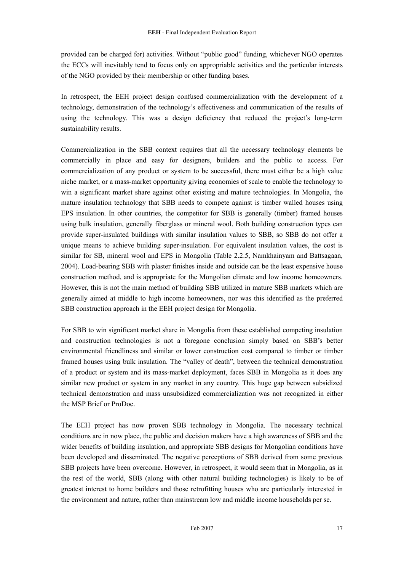provided can be charged for) activities. Without "public good" funding, whichever NGO operates the ECCs will inevitably tend to focus only on appropriable activities and the particular interests of the NGO provided by their membership or other funding bases.

In retrospect, the EEH project design confused commercialization with the development of a technology, demonstration of the technology's effectiveness and communication of the results of using the technology. This was a design deficiency that reduced the project's long-term sustainability results.

Commercialization in the SBB context requires that all the necessary technology elements be commercially in place and easy for designers, builders and the public to access. For commercialization of any product or system to be successful, there must either be a high value niche market, or a mass-market opportunity giving economies of scale to enable the technology to win a significant market share against other existing and mature technologies. In Mongolia, the mature insulation technology that SBB needs to compete against is timber walled houses using EPS insulation. In other countries, the competitor for SBB is generally (timber) framed houses using bulk insulation, generally fiberglass or mineral wool. Both building construction types can provide super-insulated buildings with similar insulation values to SBB, so SBB do not offer a unique means to achieve building super-insulation. For equivalent insulation values, the cost is similar for SB, mineral wool and EPS in Mongolia (Table 2.2.5, Namkhainyam and Battsagaan, 2004). Load-bearing SBB with plaster finishes inside and outside can be the least expensive house construction method, and is appropriate for the Mongolian climate and low income homeowners. However, this is not the main method of building SBB utilized in mature SBB markets which are generally aimed at middle to high income homeowners, nor was this identified as the preferred SBB construction approach in the EEH project design for Mongolia.

For SBB to win significant market share in Mongolia from these established competing insulation and construction technologies is not a foregone conclusion simply based on SBB's better environmental friendliness and similar or lower construction cost compared to timber or timber framed houses using bulk insulation. The "valley of death", between the technical demonstration of a product or system and its mass-market deployment, faces SBB in Mongolia as it does any similar new product or system in any market in any country. This huge gap between subsidized technical demonstration and mass unsubsidized commercialization was not recognized in either the MSP Brief or ProDoc.

The EEH project has now proven SBB technology in Mongolia. The necessary technical conditions are in now place, the public and decision makers have a high awareness of SBB and the wider benefits of building insulation, and appropriate SBB designs for Mongolian conditions have been developed and disseminated. The negative perceptions of SBB derived from some previous SBB projects have been overcome. However, in retrospect, it would seem that in Mongolia, as in the rest of the world, SBB (along with other natural building technologies) is likely to be of greatest interest to home builders and those retrofitting houses who are particularly interested in the environment and nature, rather than mainstream low and middle income households per se.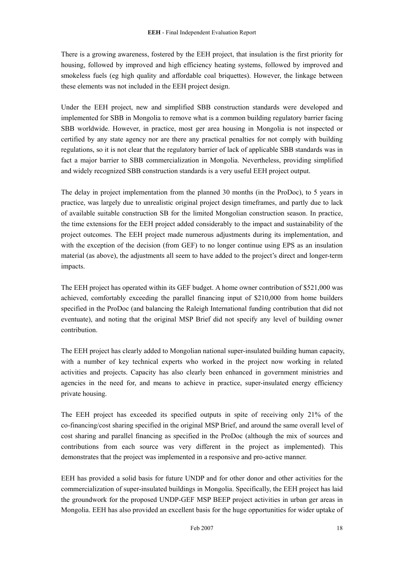There is a growing awareness, fostered by the EEH project, that insulation is the first priority for housing, followed by improved and high efficiency heating systems, followed by improved and smokeless fuels (eg high quality and affordable coal briquettes). However, the linkage between these elements was not included in the EEH project design.

Under the EEH project, new and simplified SBB construction standards were developed and implemented for SBB in Mongolia to remove what is a common building regulatory barrier facing SBB worldwide. However, in practice, most ger area housing in Mongolia is not inspected or certified by any state agency nor are there any practical penalties for not comply with building regulations, so it is not clear that the regulatory barrier of lack of applicable SBB standards was in fact a major barrier to SBB commercialization in Mongolia. Nevertheless, providing simplified and widely recognized SBB construction standards is a very useful EEH project output.

The delay in project implementation from the planned 30 months (in the ProDoc), to 5 years in practice, was largely due to unrealistic original project design timeframes, and partly due to lack of available suitable construction SB for the limited Mongolian construction season. In practice, the time extensions for the EEH project added considerably to the impact and sustainability of the project outcomes. The EEH project made numerous adjustments during its implementation, and with the exception of the decision (from GEF) to no longer continue using EPS as an insulation material (as above), the adjustments all seem to have added to the project's direct and longer-term impacts.

The EEH project has operated within its GEF budget. A home owner contribution of \$521,000 was achieved, comfortably exceeding the parallel financing input of \$210,000 from home builders specified in the ProDoc (and balancing the Raleigh International funding contribution that did not eventuate), and noting that the original MSP Brief did not specify any level of building owner contribution.

The EEH project has clearly added to Mongolian national super-insulated building human capacity, with a number of key technical experts who worked in the project now working in related activities and projects. Capacity has also clearly been enhanced in government ministries and agencies in the need for, and means to achieve in practice, super-insulated energy efficiency private housing.

The EEH project has exceeded its specified outputs in spite of receiving only 21% of the co-financing/cost sharing specified in the original MSP Brief, and around the same overall level of cost sharing and parallel financing as specified in the ProDoc (although the mix of sources and contributions from each source was very different in the project as implemented). This demonstrates that the project was implemented in a responsive and pro-active manner.

EEH has provided a solid basis for future UNDP and for other donor and other activities for the commercialization of super-insulated buildings in Mongolia. Specifically, the EEH project has laid the groundwork for the proposed UNDP-GEF MSP BEEP project activities in urban ger areas in Mongolia. EEH has also provided an excellent basis for the huge opportunities for wider uptake of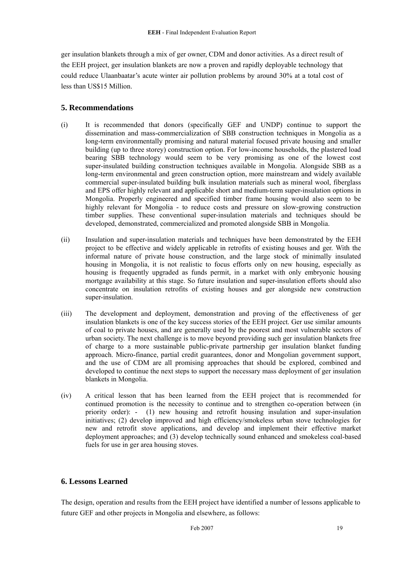<span id="page-20-0"></span>ger insulation blankets through a mix of ger owner, CDM and donor activities. As a direct result of the EEH project, ger insulation blankets are now a proven and rapidly deployable technology that could reduce Ulaanbaatar's acute winter air pollution problems by around 30% at a total cost of less than US\$15 Million.

# **5. Recommendations**

- (i) It is recommended that donors (specifically GEF and UNDP) continue to support the dissemination and mass-commercialization of SBB construction techniques in Mongolia as a long-term environmentally promising and natural material focused private housing and smaller building (up to three storey) construction option. For low-income households, the plastered load bearing SBB technology would seem to be very promising as one of the lowest cost super-insulated building construction techniques available in Mongolia. Alongside SBB as a long-term environmental and green construction option, more mainstream and widely available commercial super-insulated building bulk insulation materials such as mineral wool, fiberglass and EPS offer highly relevant and applicable short and medium-term super-insulation options in Mongolia. Properly engineered and specified timber frame housing would also seem to be highly relevant for Mongolia - to reduce costs and pressure on slow-growing construction timber supplies. These conventional super-insulation materials and techniques should be developed, demonstrated, commercialized and promoted alongside SBB in Mongolia.
- (ii) Insulation and super-insulation materials and techniques have been demonstrated by the EEH project to be effective and widely applicable in retrofits of existing houses and ger. With the informal nature of private house construction, and the large stock of minimally insulated housing in Mongolia, it is not realistic to focus efforts only on new housing, especially as housing is frequently upgraded as funds permit, in a market with only embryonic housing mortgage availability at this stage. So future insulation and super-insulation efforts should also concentrate on insulation retrofits of existing houses and ger alongside new construction super-insulation.
- (iii) The development and deployment, demonstration and proving of the effectiveness of ger insulation blankets is one of the key success stories of the EEH project. Ger use similar amounts of coal to private houses, and are generally used by the poorest and most vulnerable sectors of urban society. The next challenge is to move beyond providing such ger insulation blankets free of charge to a more sustainable public-private partnership ger insulation blanket funding approach. Micro-finance, partial credit guarantees, donor and Mongolian government support, and the use of CDM are all promising approaches that should be explored, combined and developed to continue the next steps to support the necessary mass deployment of ger insulation blankets in Mongolia.
- (iv) A critical lesson that has been learned from the EEH project that is recommended for continued promotion is the necessity to continue and to strengthen co-operation between (in priority order): - (1) new housing and retrofit housing insulation and super-insulation initiatives; (2) develop improved and high efficiency/smokeless urban stove technologies for new and retrofit stove applications, and develop and implement their effective market deployment approaches; and (3) develop technically sound enhanced and smokeless coal-based fuels for use in ger area housing stoves.

# **6. Lessons Learned**

The design, operation and results from the EEH project have identified a number of lessons applicable to future GEF and other projects in Mongolia and elsewhere, as follows: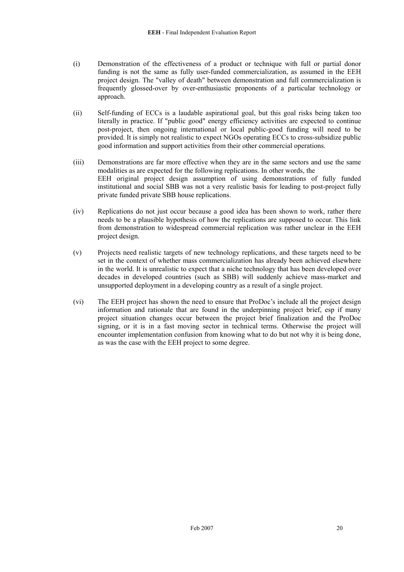- (i) Demonstration of the effectiveness of a product or technique with full or partial donor funding is not the same as fully user-funded commercialization, as assumed in the EEH project design. The "valley of death" between demonstration and full commercialization is frequently glossed-over by over-enthusiastic proponents of a particular technology or approach.
- (ii) Self-funding of ECCs is a laudable aspirational goal, but this goal risks being taken too literally in practice. If "public good" energy efficiency activities are expected to continue post-project, then ongoing international or local public-good funding will need to be provided. It is simply not realistic to expect NGOs operating ECCs to cross-subsidize public good information and support activities from their other commercial operations.
- (iii) Demonstrations are far more effective when they are in the same sectors and use the same modalities as are expected for the following replications. In other words, the EEH original project design assumption of using demonstrations of fully funded institutional and social SBB was not a very realistic basis for leading to post-project fully private funded private SBB house replications.
- (iv) Replications do not just occur because a good idea has been shown to work, rather there needs to be a plausible hypothesis of how the replications are supposed to occur. This link from demonstration to widespread commercial replication was rather unclear in the EEH project design.
- (v) Projects need realistic targets of new technology replications, and these targets need to be set in the context of whether mass commercialization has already been achieved elsewhere in the world. It is unrealistic to expect that a niche technology that has been developed over decades in developed countries (such as SBB) will suddenly achieve mass-market and unsupported deployment in a developing country as a result of a single project.
- (vi) The EEH project has shown the need to ensure that ProDoc's include all the project design information and rationale that are found in the underpinning project brief, esp if many project situation changes occur between the project brief finalization and the ProDoc signing, or it is in a fast moving sector in technical terms. Otherwise the project will encounter implementation confusion from knowing what to do but not why it is being done, as was the case with the EEH project to some degree.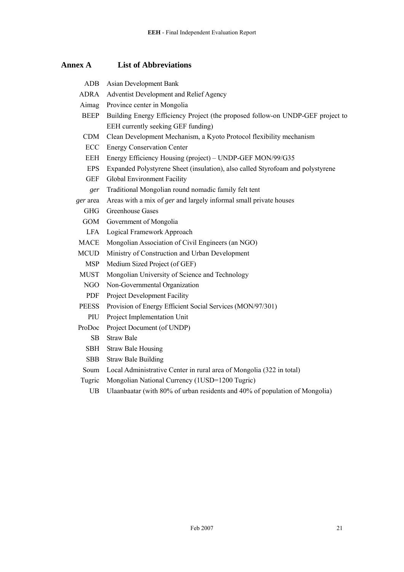<span id="page-22-0"></span>**Annex A List of Abbreviations** 

| Asian Development Bank                                                         |
|--------------------------------------------------------------------------------|
| Adventist Development and Relief Agency                                        |
| Province center in Mongolia                                                    |
| Building Energy Efficiency Project (the proposed follow-on UNDP-GEF project to |
| EEH currently seeking GEF funding)                                             |
| Clean Development Mechanism, a Kyoto Protocol flexibility mechanism            |
| <b>Energy Conservation Center</b>                                              |
| Energy Efficiency Housing (project) – UNDP-GEF MON/99/G35                      |
| Expanded Polystyrene Sheet (insulation), also called Styrofoam and polystyrene |
| Global Environment Facility                                                    |
| Traditional Mongolian round nomadic family felt tent                           |
| Areas with a mix of ger and largely informal small private houses              |
| <b>Greenhouse Gases</b>                                                        |
| Government of Mongolia                                                         |
| Logical Framework Approach                                                     |
| Mongolian Association of Civil Engineers (an NGO)                              |
| Ministry of Construction and Urban Development                                 |
| Medium Sized Project (of GEF)                                                  |
| Mongolian University of Science and Technology                                 |
| Non-Governmental Organization                                                  |
| Project Development Facility                                                   |
| Provision of Energy Efficient Social Services (MON/97/301)                     |
| Project Implementation Unit                                                    |
| Project Document (of UNDP)                                                     |
| <b>Straw Bale</b>                                                              |
| <b>Straw Bale Housing</b>                                                      |
| <b>Straw Bale Building</b>                                                     |
| Local Administrative Center in rural area of Mongolia (322 in total)           |
| Mongolian National Currency (1USD=1200 Tugric)                                 |
|                                                                                |

# UB Ulaanbaatar (with 80% of urban residents and 40% of population of Mongolia)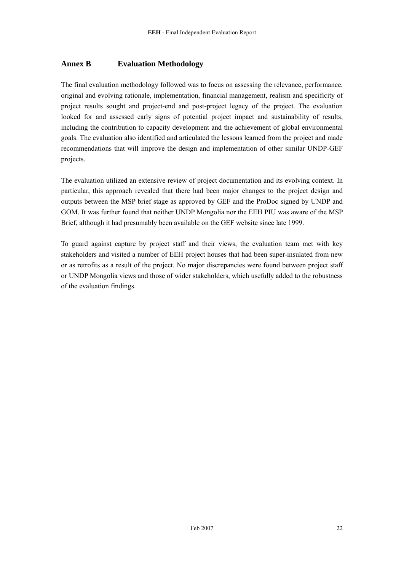# <span id="page-23-0"></span>**Annex B Evaluation Methodology**

The final evaluation methodology followed was to focus on assessing the relevance, performance, original and evolving rationale, implementation, financial management, realism and specificity of project results sought and project-end and post-project legacy of the project. The evaluation looked for and assessed early signs of potential project impact and sustainability of results, including the contribution to capacity development and the achievement of global environmental goals. The evaluation also identified and articulated the lessons learned from the project and made recommendations that will improve the design and implementation of other similar UNDP-GEF projects.

The evaluation utilized an extensive review of project documentation and its evolving context. In particular, this approach revealed that there had been major changes to the project design and outputs between the MSP brief stage as approved by GEF and the ProDoc signed by UNDP and GOM. It was further found that neither UNDP Mongolia nor the EEH PIU was aware of the MSP Brief, although it had presumably been available on the GEF website since late 1999.

To guard against capture by project staff and their views, the evaluation team met with key stakeholders and visited a number of EEH project houses that had been super-insulated from new or as retrofits as a result of the project. No major discrepancies were found between project staff or UNDP Mongolia views and those of wider stakeholders, which usefully added to the robustness of the evaluation findings.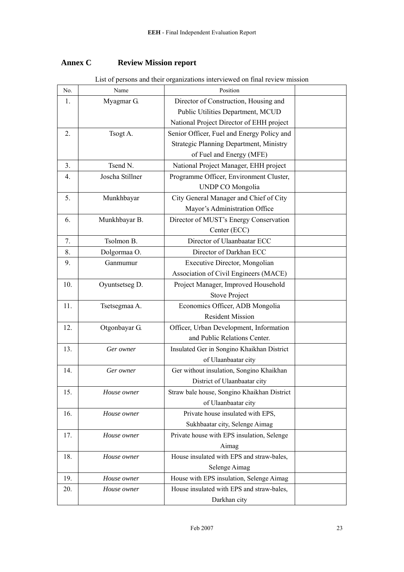# <span id="page-24-0"></span>**Annex C** Review Mission report

| No.            | Name            | 2150 Of persons and their organizations meet viewed on final fevrew important<br>Position |  |
|----------------|-----------------|-------------------------------------------------------------------------------------------|--|
| 1.             | Myagmar G.      | Director of Construction, Housing and                                                     |  |
|                |                 | Public Utilities Department, MCUD                                                         |  |
|                |                 | National Project Director of EHH project                                                  |  |
| 2.             | Tsogt A.        | Senior Officer, Fuel and Energy Policy and                                                |  |
|                |                 | Strategic Planning Department, Ministry                                                   |  |
|                |                 | of Fuel and Energy (MFE)                                                                  |  |
| 3 <sub>1</sub> | Tsend N.        | National Project Manager, EHH project                                                     |  |
| 4.             | Joscha Stillner | Programme Officer, Environment Cluster,                                                   |  |
|                |                 | <b>UNDP CO Mongolia</b>                                                                   |  |
| 5.             | Munkhbayar      | City General Manager and Chief of City                                                    |  |
|                |                 | Mayor's Administration Office                                                             |  |
| 6.             | Munkhbayar B.   | Director of MUST's Energy Conservation                                                    |  |
|                |                 | Center (ECC)                                                                              |  |
| 7.             | Tsolmon B.      | Director of Ulaanbaatar ECC                                                               |  |
| 8.             | Dolgormaa O.    | Director of Darkhan ECC                                                                   |  |
| 9.             | Ganmumur        | Executive Director, Mongolian                                                             |  |
|                |                 | Association of Civil Engineers (MACE)                                                     |  |
| 10.            | Oyuntsetseg D.  | Project Manager, Improved Household                                                       |  |
|                |                 | <b>Stove Project</b>                                                                      |  |
| 11.            | Tsetsegmaa A.   | Economics Officer, ADB Mongolia                                                           |  |
|                |                 | <b>Resident Mission</b>                                                                   |  |
| 12.            | Otgonbayar G.   | Officer, Urban Development, Information                                                   |  |
|                |                 | and Public Relations Center.                                                              |  |
| 13.            | Ger owner       | Insulated Ger in Songino Khaikhan District                                                |  |
|                |                 | of Ulaanbaatar city                                                                       |  |
| 14.            | Ger owner       | Ger without insulation, Songino Khaikhan                                                  |  |
|                |                 | District of Ulaanbaatar city                                                              |  |
| 15.            | House owner     | Straw bale house, Songino Khaikhan District                                               |  |
|                |                 | of Ulaanbaatar city                                                                       |  |
| 16.            | House owner     | Private house insulated with EPS,                                                         |  |
|                |                 | Sukhbaatar city, Selenge Aimag                                                            |  |
| 17.            | House owner     | Private house with EPS insulation, Selenge                                                |  |
|                |                 | Aimag                                                                                     |  |
| 18.            | House owner     | House insulated with EPS and straw-bales,                                                 |  |
|                |                 | Selenge Aimag                                                                             |  |
| 19.            | House owner     | House with EPS insulation, Selenge Aimag                                                  |  |
| 20.            | House owner     | House insulated with EPS and straw-bales,                                                 |  |
|                |                 | Darkhan city                                                                              |  |

List of persons and their organizations interviewed on final review mission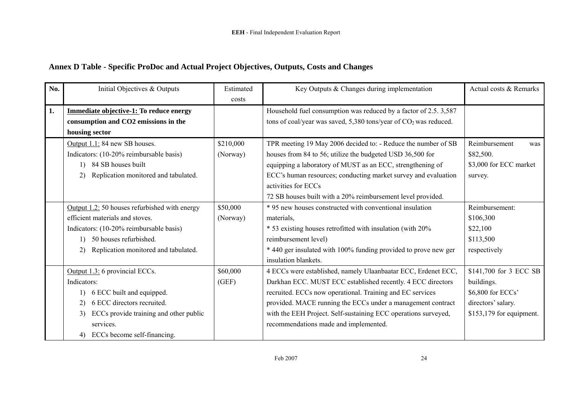# **Annex D Table - Specific ProDoc and Actual Project Objectives, Outputs, Costs and Changes**

<span id="page-25-0"></span>

| No.                               | Initial Objectives & Outputs                     | Estimated | Key Outputs & Changes during implementation                        | Actual costs & Remarks    |
|-----------------------------------|--------------------------------------------------|-----------|--------------------------------------------------------------------|---------------------------|
|                                   |                                                  | costs     |                                                                    |                           |
| 1.                                | Immediate objective-1: To reduce energy          |           | Household fuel consumption was reduced by a factor of 2.5.3,587    |                           |
|                                   | consumption and CO2 emissions in the             |           | tons of coal/year was saved, 5,380 tons/year of $CO2$ was reduced. |                           |
|                                   | housing sector                                   |           |                                                                    |                           |
|                                   | Output 1.1: 84 new SB houses.                    | \$210,000 | TPR meeting 19 May 2006 decided to: - Reduce the number of SB      | Reimbursement<br>was      |
|                                   | Indicators: (10-20% reimbursable basis)          | (Norway)  | houses from 84 to 56; utilize the budgeted USD 36,500 for          | \$82,500.                 |
|                                   | 1) 84 SB houses built                            |           | equipping a laboratory of MUST as an ECC, strengthening of         | \$3,000 for ECC market    |
|                                   | Replication monitored and tabulated.<br>2)       |           | ECC's human resources; conducting market survey and evaluation     | survey.                   |
|                                   |                                                  |           | activities for ECCs                                                |                           |
|                                   |                                                  |           | 72 SB houses built with a 20% reimbursement level provided.        |                           |
|                                   | Output $1.2:$ 50 houses refurbished with energy  | \$50,000  | * 95 new houses constructed with conventional insulation           | Reimbursement:            |
|                                   | efficient materials and stoves.                  | (Norway)  | materials,                                                         | \$106,300                 |
|                                   | Indicators: (10-20% reimbursable basis)          |           | * 53 existing houses retrofitted with insulation (with 20%)        | \$22,100                  |
|                                   | 50 houses refurbished.<br>$\left  \cdot \right $ |           | reimbursement level)                                               | \$113,500                 |
|                                   | Replication monitored and tabulated.<br>2)       |           | * 440 ger insulated with 100% funding provided to prove new ger    | respectively              |
|                                   |                                                  |           | insulation blankets.                                               |                           |
|                                   | Output 1.3: 6 provincial ECCs.                   | \$60,000  | 4 ECCs were established, namely Ulaanbaatar ECC, Erdenet ECC,      | \$141,700 for 3 ECC SB    |
|                                   | Indicators:                                      | (GEF)     | Darkhan ECC. MUST ECC established recently. 4 ECC directors        | buildings.                |
|                                   | 6 ECC built and equipped.                        |           | recruited. ECCs now operational. Training and EC services          | \$6,800 for ECCs'         |
|                                   | 6 ECC directors recruited.<br>2)                 |           | provided. MACE running the ECCs under a management contract        | directors' salary.        |
|                                   | ECCs provide training and other public<br>3)     |           | with the EEH Project. Self-sustaining ECC operations surveyed,     | $$153,179$ for equipment. |
|                                   | services.                                        |           | recommendations made and implemented.                              |                           |
| ECCs become self-financing.<br>4) |                                                  |           |                                                                    |                           |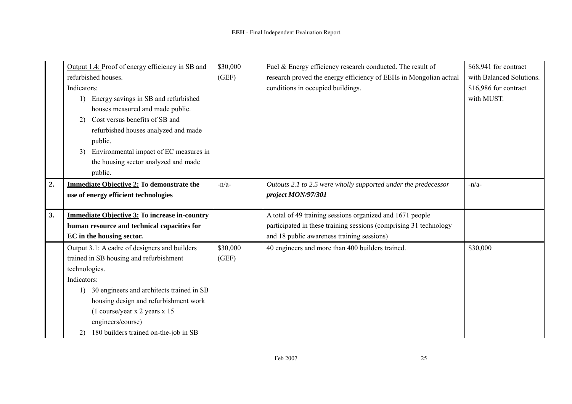|    | Output 1.4: Proof of energy efficiency in SB and     | \$30,000 | Fuel & Energy efficiency research conducted. The result of        | \$68,941 for contract    |
|----|------------------------------------------------------|----------|-------------------------------------------------------------------|--------------------------|
|    | refurbished houses.                                  | (GEF)    | research proved the energy efficiency of EEHs in Mongolian actual | with Balanced Solutions. |
|    | Indicators:                                          |          | conditions in occupied buildings.                                 | \$16,986 for contract    |
|    | Energy savings in SB and refurbished                 |          |                                                                   | with MUST.               |
|    | houses measured and made public.                     |          |                                                                   |                          |
|    | Cost versus benefits of SB and<br>2)                 |          |                                                                   |                          |
|    | refurbished houses analyzed and made                 |          |                                                                   |                          |
|    | public.                                              |          |                                                                   |                          |
|    | Environmental impact of EC measures in<br>3)         |          |                                                                   |                          |
|    | the housing sector analyzed and made                 |          |                                                                   |                          |
|    | public.                                              |          |                                                                   |                          |
| 2. | <b>Immediate Objective 2: To demonstrate the</b>     | $-n/a-$  | Outouts 2.1 to 2.5 were wholly supported under the predecessor    | $-n/a-$                  |
|    | use of energy efficient technologies                 |          | project MON/97/301                                                |                          |
|    |                                                      |          |                                                                   |                          |
| 3. | <b>Immediate Objective 3: To increase in-country</b> |          | A total of 49 training sessions organized and 1671 people         |                          |
|    | human resource and technical capacities for          |          | participated in these training sessions (comprising 31 technology |                          |
|    | EC in the housing sector.                            |          | and 18 public awareness training sessions)                        |                          |
|    | Output $3.1$ : A cadre of designers and builders     | \$30,000 | 40 engineers and more than 400 builders trained.                  | \$30,000                 |
|    | trained in SB housing and refurbishment              | (GEF)    |                                                                   |                          |
|    | technologies.                                        |          |                                                                   |                          |
|    | Indicators:                                          |          |                                                                   |                          |
|    | 30 engineers and architects trained in SB<br>1)      |          |                                                                   |                          |
|    | housing design and refurbishment work                |          |                                                                   |                          |
|    | (1 course/year x 2 years x 15)                       |          |                                                                   |                          |
|    | engineers/course)                                    |          |                                                                   |                          |
|    | 180 builders trained on-the-job in SB<br>2)          |          |                                                                   |                          |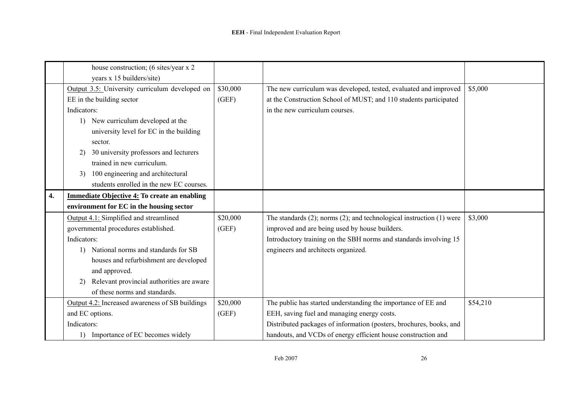|    | house construction; (6 sites/year x 2)              |          |                                                                              |          |
|----|-----------------------------------------------------|----------|------------------------------------------------------------------------------|----------|
|    | years x 15 builders/site)                           |          |                                                                              |          |
|    | Output 3.5: University curriculum developed on      | \$30,000 | The new curriculum was developed, tested, evaluated and improved             | \$5,000  |
|    | EE in the building sector                           | (GEF)    | at the Construction School of MUST; and 110 students participated            |          |
|    | Indicators:                                         |          | in the new curriculum courses.                                               |          |
|    | New curriculum developed at the<br>1)               |          |                                                                              |          |
|    | university level for EC in the building             |          |                                                                              |          |
|    | sector.                                             |          |                                                                              |          |
|    | 30 university professors and lecturers<br>2)        |          |                                                                              |          |
|    | trained in new curriculum.                          |          |                                                                              |          |
|    | 100 engineering and architectural<br>3)             |          |                                                                              |          |
|    | students enrolled in the new EC courses.            |          |                                                                              |          |
| 4. | <b>Immediate Objective 4: To create an enabling</b> |          |                                                                              |          |
|    | environment for EC in the housing sector            |          |                                                                              |          |
|    | Output 4.1: Simplified and streamlined              | \$20,000 | The standards $(2)$ ; norms $(2)$ ; and technological instruction $(1)$ were | \$3,000  |
|    | governmental procedures established.                | (GEF)    | improved and are being used by house builders.                               |          |
|    | Indicators:                                         |          | Introductory training on the SBH norms and standards involving 15            |          |
|    | National norms and standards for SB                 |          | engineers and architects organized.                                          |          |
|    | houses and refurbishment are developed              |          |                                                                              |          |
|    | and approved.                                       |          |                                                                              |          |
|    | Relevant provincial authorities are aware<br>2)     |          |                                                                              |          |
|    | of these norms and standards.                       |          |                                                                              |          |
|    | Output 4.2: Increased awareness of SB buildings     | \$20,000 | The public has started understanding the importance of EE and                | \$54,210 |
|    | and EC options.                                     | (GEF)    | EEH, saving fuel and managing energy costs.                                  |          |
|    | Indicators:                                         |          | Distributed packages of information (posters, brochures, books, and          |          |
|    | 1) Importance of EC becomes widely                  |          | handouts, and VCDs of energy efficient house construction and                |          |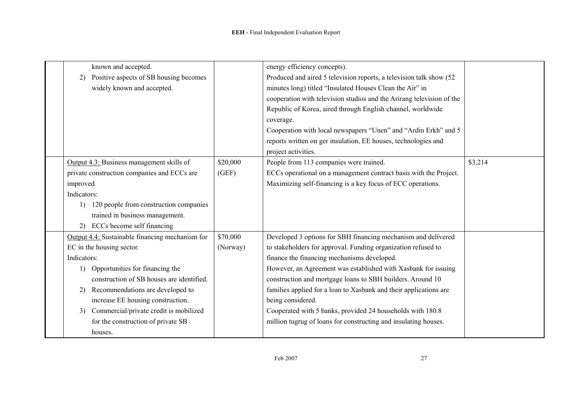| known and accepted.                             |          | energy efficiency concepts).                                          |         |
|-------------------------------------------------|----------|-----------------------------------------------------------------------|---------|
| Positive aspects of SB housing becomes<br>2)    |          | Produced and aired 5 television reports, a television talk show (52)  |         |
| widely known and accepted.                      |          | minutes long) titled "Insulated Houses Clean the Air" in              |         |
|                                                 |          | cooperation with television studios and the Arirang television of the |         |
|                                                 |          | Republic of Korea, aired through English channel, worldwide           |         |
|                                                 |          | coverage.                                                             |         |
|                                                 |          | Cooperation with local newspapers "Unen" and "Ardin Erkh" and 5       |         |
|                                                 |          |                                                                       |         |
|                                                 |          | reports written on ger insulation, EE houses, technologies and        |         |
|                                                 |          | project activities.                                                   |         |
| Output 4.3: Business management skills of       | \$20,000 | People from 113 companies were trained.                               | \$3,214 |
| private construction companies and ECCs are     | (GEF)    | ECCs operational on a management contract basis with the Project.     |         |
| improved                                        |          | Maximizing self-financing is a key focus of ECC operations.           |         |
| Indicators:                                     |          |                                                                       |         |
| 120 people from construction companies<br>1)    |          |                                                                       |         |
| trained in business management.                 |          |                                                                       |         |
| ECCs become self financing<br>2)                |          |                                                                       |         |
| Output 4.4: Sustainable financing mechanism for | \$70,000 | Developed 3 options for SBH financing mechanism and delivered         |         |
| EC in the housing sector.                       | (Norway) | to stakeholders for approval. Funding organization refused to         |         |
| Indicators:                                     |          | finance the financing mechanisms developed.                           |         |
| Opportunities for financing the<br>1)           |          | However, an Agreement was established with Xasbank for issuing        |         |
| construction of SB houses are identified.       |          | construction and mortgage loans to SBH builders. Around 10            |         |
| Recommendations are developed to<br>2)          |          | families applied for a loan to Xasbank and their applications are     |         |
| increase EE housing construction.               |          | being considered.                                                     |         |
| Commercial/private credit is mobilized<br>3)    |          | Cooperated with 5 banks, provided 24 households with 180.8            |         |
| for the construction of private SB              |          | million tugrug of loans for constructing and insulating houses.       |         |
| houses.                                         |          |                                                                       |         |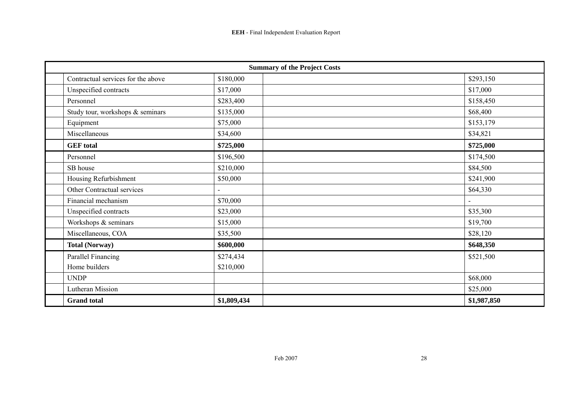| <b>Summary of the Project Costs</b> |             |             |  |  |
|-------------------------------------|-------------|-------------|--|--|
| Contractual services for the above  | \$180,000   | \$293,150   |  |  |
| Unspecified contracts               | \$17,000    | \$17,000    |  |  |
| Personnel                           | \$283,400   | \$158,450   |  |  |
| Study tour, workshops & seminars    | \$135,000   | \$68,400    |  |  |
| Equipment                           | \$75,000    | \$153,179   |  |  |
| Miscellaneous                       | \$34,600    | \$34,821    |  |  |
| <b>GEF</b> total                    | \$725,000   | \$725,000   |  |  |
| Personnel                           | \$196,500   | \$174,500   |  |  |
| SB house                            | \$210,000   | \$84,500    |  |  |
| Housing Refurbishment               | \$50,000    | \$241,900   |  |  |
| Other Contractual services          |             | \$64,330    |  |  |
| Financial mechanism                 | \$70,000    |             |  |  |
| Unspecified contracts               | \$23,000    | \$35,300    |  |  |
| Workshops & seminars                | \$15,000    | \$19,700    |  |  |
| Miscellaneous, COA                  | \$35,500    | \$28,120    |  |  |
| <b>Total (Norway)</b>               | \$600,000   | \$648,350   |  |  |
| Parallel Financing                  | \$274,434   | \$521,500   |  |  |
| Home builders                       | \$210,000   |             |  |  |
| <b>UNDP</b>                         |             | \$68,000    |  |  |
| <b>Lutheran Mission</b>             |             | \$25,000    |  |  |
| <b>Grand</b> total                  | \$1,809,434 | \$1,987,850 |  |  |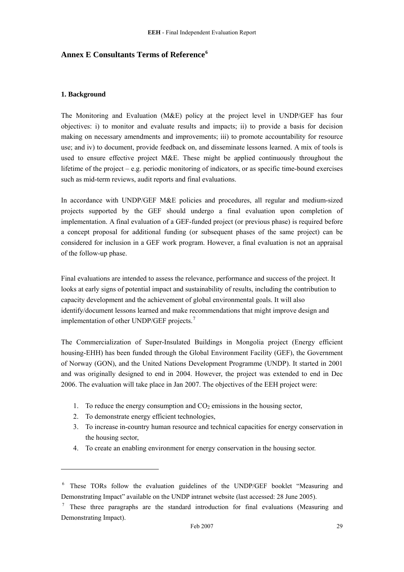# <span id="page-30-0"></span>**Annex E Consultants Terms of Reference[6](#page-30-0)**

#### **1. Background**

The Monitoring and Evaluation (M&E) policy at the project level in UNDP/GEF has four objectives: i) to monitor and evaluate results and impacts; ii) to provide a basis for decision making on necessary amendments and improvements; iii) to promote accountability for resource use; and iv) to document, provide feedback on, and disseminate lessons learned. A mix of tools is used to ensure effective project M&E. These might be applied continuously throughout the lifetime of the project – e.g. periodic monitoring of indicators, or as specific time-bound exercises such as mid-term reviews, audit reports and final evaluations.

In accordance with UNDP/GEF M&E policies and procedures, all regular and medium-sized projects supported by the GEF should undergo a final evaluation upon completion of implementation. A final evaluation of a GEF-funded project (or previous phase) is required before a concept proposal for additional funding (or subsequent phases of the same project) can be considered for inclusion in a GEF work program. However, a final evaluation is not an appraisal of the follow-up phase.

Final evaluations are intended to assess the relevance, performance and success of the project. It looks at early signs of potential impact and sustainability of results, including the contribution to capacity development and the achievement of global environmental goals. It will also identify/document lessons learned and make recommendations that might improve design and implementation of other UNDP/GEF projects.<sup>[7](#page-30-0)</sup>

The Commercialization of Super-Insulated Buildings in Mongolia project (Energy efficient housing-EHH) has been funded through the Global Environment Facility (GEF), the Government of Norway (GON), and the United Nations Development Programme (UNDP). It started in 2001 and was originally designed to end in 2004. However, the project was extended to end in Dec 2006. The evaluation will take place in Jan 2007. The objectives of the EEH project were:

- 1. To reduce the energy consumption and  $CO<sub>2</sub>$  emissions in the housing sector,
- 2. To demonstrate energy efficient technologies,

<u>.</u>

- 3. To increase in-country human resource and technical capacities for energy conservation in the housing sector,
- 4. To create an enabling environment for energy conservation in the housing sector.

<sup>&</sup>lt;sup>6</sup> These TORs follow the evaluation guidelines of the UNDP/GEF booklet "Measuring and Demonstrating Impact" available on the UNDP intranet website (last accessed: 28 June 2005).

<sup>7</sup> These three paragraphs are the standard introduction for final evaluations (Measuring and Demonstrating Impact).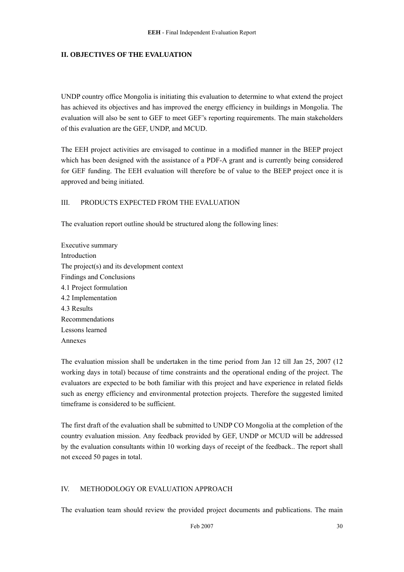#### **II. OBJECTIVES OF THE EVALUATION**

UNDP country office Mongolia is initiating this evaluation to determine to what extend the project has achieved its objectives and has improved the energy efficiency in buildings in Mongolia. The evaluation will also be sent to GEF to meet GEF's reporting requirements. The main stakeholders of this evaluation are the GEF, UNDP, and MCUD.

The EEH project activities are envisaged to continue in a modified manner in the BEEP project which has been designed with the assistance of a PDF-A grant and is currently being considered for GEF funding. The EEH evaluation will therefore be of value to the BEEP project once it is approved and being initiated.

#### III. PRODUCTS EXPECTED FROM THE EVALUATION

The evaluation report outline should be structured along the following lines:

Executive summary Introduction The project(s) and its development context Findings and Conclusions 4.1 Project formulation 4.2 Implementation 4.3 Results Recommendations Lessons learned Annexes

The evaluation mission shall be undertaken in the time period from Jan 12 till Jan 25, 2007 (12 working days in total) because of time constraints and the operational ending of the project. The evaluators are expected to be both familiar with this project and have experience in related fields such as energy efficiency and environmental protection projects. Therefore the suggested limited timeframe is considered to be sufficient.

The first draft of the evaluation shall be submitted to UNDP CO Mongolia at the completion of the country evaluation mission. Any feedback provided by GEF, UNDP or MCUD will be addressed by the evaluation consultants within 10 working days of receipt of the feedback.. The report shall not exceed 50 pages in total.

#### IV. METHODOLOGY OR EVALUATION APPROACH

The evaluation team should review the provided project documents and publications. The main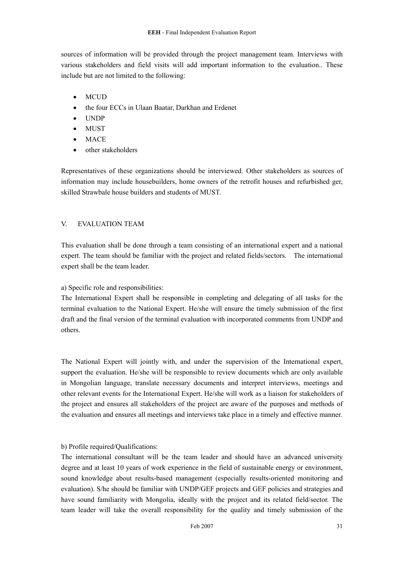sources of information will be provided through the project management team. Interviews with various stakeholders and field visits will add important information to the evaluation.. These include but are not limited to the following:

- MCUD
- the four ECCs in Ulaan Baatar, Darkhan and Erdenet
- UNDP
- MUST
- **MACE**
- other stakeholders

Representatives of these organizations should be interviewed. Other stakeholders as sources of information may include housebuilders, home owners of the retrofit houses and refurbished ger, skilled Strawbale house builders and students of MUST.

# V. EVALUATION TEAM

This evaluation shall be done through a team consisting of an international expert and a national expert. The team should be familiar with the project and related fields/sectors. The international expert shall be the team leader.

a) Specific role and responsibilities:

The International Expert shall be responsible in completing and delegating of all tasks for the terminal evaluation to the National Expert. He/she will ensure the timely submission of the first draft and the final version of the terminal evaluation with incorporated comments from UNDP and others.

The National Expert will jointly with, and under the supervision of the International expert, support the evaluation. He/she will be responsible to review documents which are only available in Mongolian language, translate necessary documents and interpret interviews, meetings and other relevant events for the International Expert. He/she will work as a liaison for stakeholders of the project and ensures all stakeholders of the project are aware of the purposes and methods of the evaluation and ensures all meetings and interviews take place in a timely and effective manner.

# b) Profile required/Qualifications:

The international consultant will be the team leader and should have an advanced university degree and at least 10 years of work experience in the field of sustainable energy or environment, sound knowledge about results-based management (especially results-oriented monitoring and evaluation). S/he should be familiar with UNDP/GEF projects and GEF policies and strategies and have sound familiarity with Mongolia, ideally with the project and its related field/sector. The team leader will take the overall responsibility for the quality and timely submission of the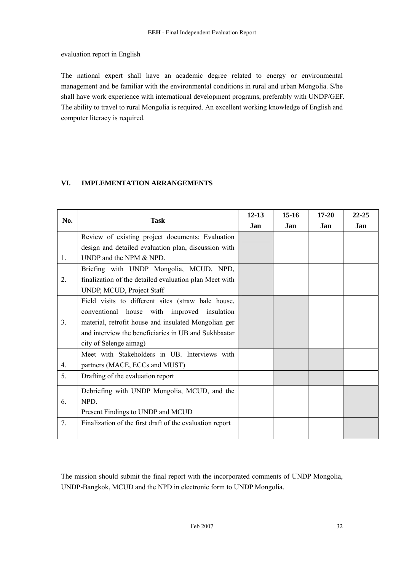#### evaluation report in English

 $\overline{a}$ 

The national expert shall have an academic degree related to energy or environmental management and be familiar with the environmental conditions in rural and urban Mongolia. S/he shall have work experience with international development programs, preferably with UNDP/GEF. The ability to travel to rural Mongolia is required. An excellent working knowledge of English and computer literacy is required.

# **VI. IMPLEMENTATION ARRANGEMENTS**

|     | <b>Task</b>                                              | $12 - 13$ | $15 - 16$ | $17 - 20$ | 22-25 |
|-----|----------------------------------------------------------|-----------|-----------|-----------|-------|
| No. |                                                          | Jan       | Jan       | Jan       | Jan   |
|     | Review of existing project documents; Evaluation         |           |           |           |       |
|     | design and detailed evaluation plan, discussion with     |           |           |           |       |
| 1.  | UNDP and the NPM & NPD.                                  |           |           |           |       |
|     | Briefing with UNDP Mongolia, MCUD, NPD,                  |           |           |           |       |
| 2.  | finalization of the detailed evaluation plan Meet with   |           |           |           |       |
|     | UNDP, MCUD, Project Staff                                |           |           |           |       |
|     | Field visits to different sites (straw bale house,       |           |           |           |       |
|     | conventional house with improved insulation              |           |           |           |       |
| 3.  | material, retrofit house and insulated Mongolian ger     |           |           |           |       |
|     | and interview the beneficiaries in UB and Sukhbaatar     |           |           |           |       |
|     | city of Selenge aimag)                                   |           |           |           |       |
|     | Meet with Stakeholders in UB. Interviews with            |           |           |           |       |
| 4.  | partners (MACE, ECCs and MUST)                           |           |           |           |       |
| 5.  | Drafting of the evaluation report                        |           |           |           |       |
|     | Debriefing with UNDP Mongolia, MCUD, and the             |           |           |           |       |
| 6.  | NPD.                                                     |           |           |           |       |
|     | Present Findings to UNDP and MCUD                        |           |           |           |       |
| 7.  | Finalization of the first draft of the evaluation report |           |           |           |       |
|     |                                                          |           |           |           |       |

The mission should submit the final report with the incorporated comments of UNDP Mongolia, UNDP-Bangkok, MCUD and the NPD in electronic form to UNDP Mongolia.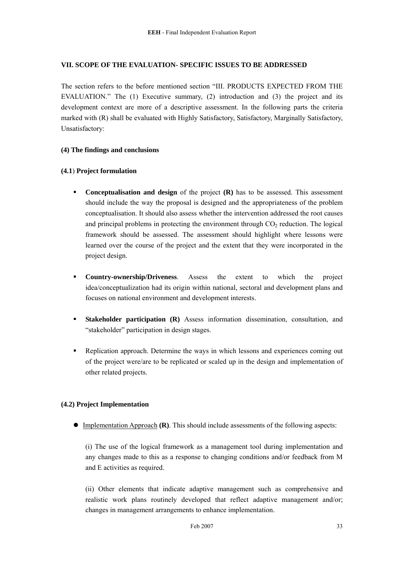#### **VII. SCOPE OF THE EVALUATION- SPECIFIC ISSUES TO BE ADDRESSED**

The section refers to the before mentioned section "III. PRODUCTS EXPECTED FROM THE EVALUATION." The (1) Executive summary, (2) introduction and (3) the project and its development context are more of a descriptive assessment. In the following parts the criteria marked with (R) shall be evaluated with Highly Satisfactory, Satisfactory, Marginally Satisfactory, Unsatisfactory:

#### **(4) The findings and conclusions**

#### **(4.1**) **Project formulation**

- **Conceptualisation and design** of the project **(R)** has to be assessed. This assessment should include the way the proposal is designed and the appropriateness of the problem conceptualisation. It should also assess whether the intervention addressed the root causes and principal problems in protecting the environment through  $CO<sub>2</sub>$  reduction. The logical framework should be assessed. The assessment should highlight where lessons were learned over the course of the project and the extent that they were incorporated in the project design.
- **Country-ownership/Driveness**. Assess the extent to which the project idea/conceptualization had its origin within national, sectoral and development plans and focuses on national environment and development interests.
- **Stakeholder participation (R)** Assess information dissemination, consultation, and "stakeholder" participation in design stages.
- Replication approach. Determine the ways in which lessons and experiences coming out of the project were/are to be replicated or scaled up in the design and implementation of other related projects.

# **(4.2) Project Implementation**

• Implementation Approach **(R)**. This should include assessments of the following aspects:

(i) The use of the logical framework as a management tool during implementation and any changes made to this as a response to changing conditions and/or feedback from M and E activities as required.

(ii) Other elements that indicate adaptive management such as comprehensive and realistic work plans routinely developed that reflect adaptive management and/or; changes in management arrangements to enhance implementation.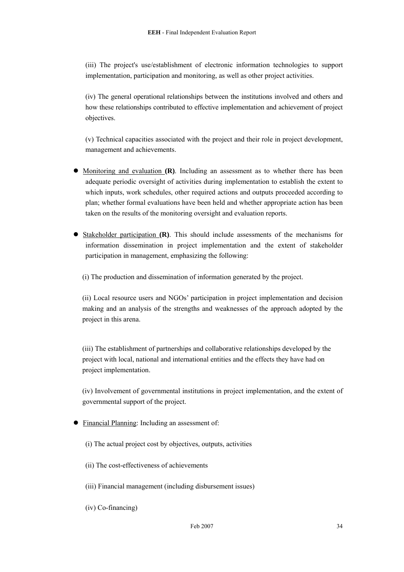(iii) The project's use/establishment of electronic information technologies to support implementation, participation and monitoring, as well as other project activities.

(iv) The general operational relationships between the institutions involved and others and how these relationships contributed to effective implementation and achievement of project objectives.

(v) Technical capacities associated with the project and their role in project development, management and achievements.

- Monitoring and evaluation **(R)**. Including an assessment as to whether there has been adequate periodic oversight of activities during implementation to establish the extent to which inputs, work schedules, other required actions and outputs proceeded according to plan; whether formal evaluations have been held and whether appropriate action has been taken on the results of the monitoring oversight and evaluation reports.
- Stakeholder participation **(R)**. This should include assessments of the mechanisms for information dissemination in project implementation and the extent of stakeholder participation in management, emphasizing the following:

(i) The production and dissemination of information generated by the project.

(ii) Local resource users and NGOs' participation in project implementation and decision making and an analysis of the strengths and weaknesses of the approach adopted by the project in this arena.

(iii) The establishment of partnerships and collaborative relationships developed by the project with local, national and international entities and the effects they have had on project implementation.

(iv) Involvement of governmental institutions in project implementation, and the extent of governmental support of the project.

- Financial Planning: Including an assessment of:
	- (i) The actual project cost by objectives, outputs, activities
	- (ii) The cost-effectiveness of achievements
	- (iii) Financial management (including disbursement issues)
	- (iv) Co-financing)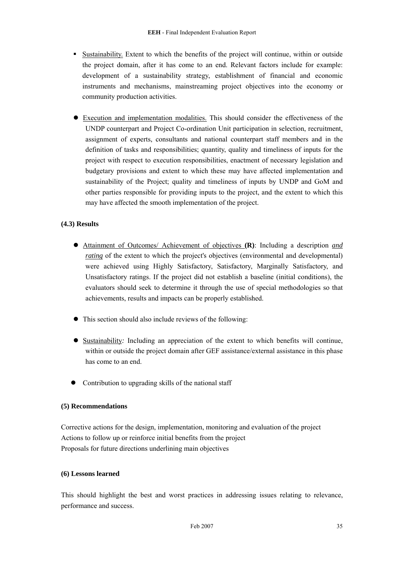- Sustainability. Extent to which the benefits of the project will continue, within or outside the project domain, after it has come to an end. Relevant factors include for example: development of a sustainability strategy, establishment of financial and economic instruments and mechanisms, mainstreaming project objectives into the economy or community production activities.
- z Execution and implementation modalities. This should consider the effectiveness of the UNDP counterpart and Project Co-ordination Unit participation in selection, recruitment, assignment of experts, consultants and national counterpart staff members and in the definition of tasks and responsibilities; quantity, quality and timeliness of inputs for the project with respect to execution responsibilities, enactment of necessary legislation and budgetary provisions and extent to which these may have affected implementation and sustainability of the Project; quality and timeliness of inputs by UNDP and GoM and other parties responsible for providing inputs to the project, and the extent to which this may have affected the smooth implementation of the project.

# **(4.3) Results**

- z Attainment of Outcomes/ Achievement of objectives **(R)**: Including a description *and rating* of the extent to which the project's objectives (environmental and developmental) were achieved using Highly Satisfactory, Satisfactory, Marginally Satisfactory, and Unsatisfactory ratings. If the project did not establish a baseline (initial conditions), the evaluators should seek to determine it through the use of special methodologies so that achievements, results and impacts can be properly established.
- $\bullet$  This section should also include reviews of the following:
- Sustainability: Including an appreciation of the extent to which benefits will continue, within or outside the project domain after GEF assistance/external assistance in this phase has come to an end.
- Contribution to upgrading skills of the national staff

#### **(5) Recommendations**

Corrective actions for the design, implementation, monitoring and evaluation of the project Actions to follow up or reinforce initial benefits from the project Proposals for future directions underlining main objectives

#### **(6) Lessons learned**

This should highlight the best and worst practices in addressing issues relating to relevance, performance and success.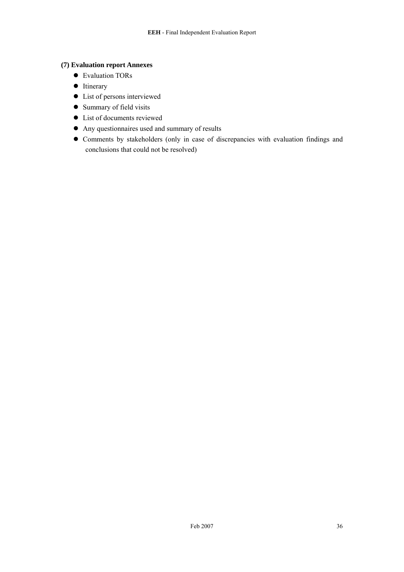#### **(7) Evaluation report Annexes**

- Evaluation TORs
- $\bullet$  Itinerary
- List of persons interviewed
- Summary of field visits
- List of documents reviewed
- Any questionnaires used and summary of results
- Comments by stakeholders (only in case of discrepancies with evaluation findings and conclusions that could not be resolved)